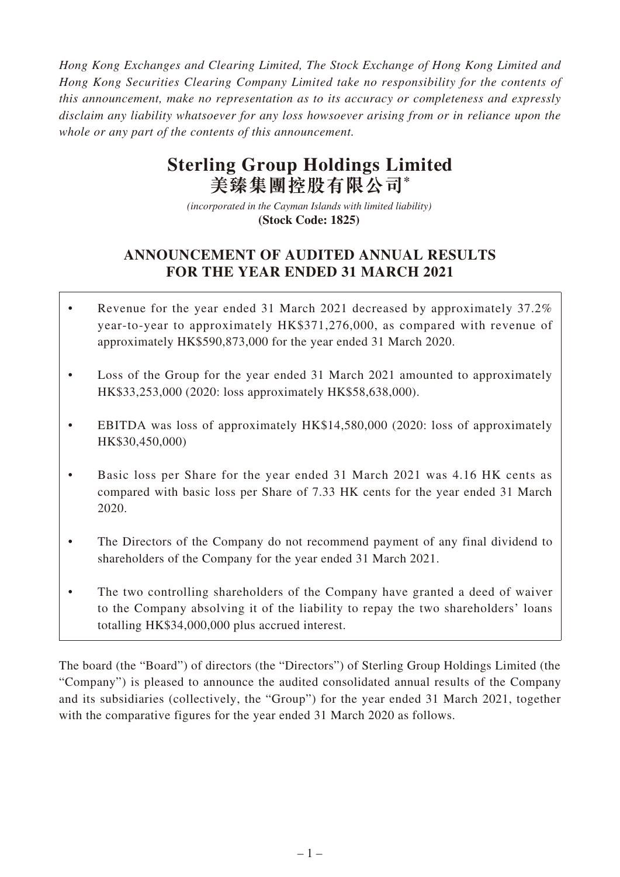*Hong Kong Exchanges and Clearing Limited, The Stock Exchange of Hong Kong Limited and Hong Kong Securities Clearing Company Limited take no responsibility for the contents of this announcement, make no representation as to its accuracy or completeness and expressly disclaim any liability whatsoever for any loss howsoever arising from or in reliance upon the whole or any part of the contents of this announcement.*

# **Sterling Group Holdings Limited 美臻集團控股有限公司\***

*(incorporated in the Cayman Islands with limited liability)*  **(Stock Code: 1825)** 

# **ANNOUNCEMENT OF AUDITED ANNUAL RESULTS FOR THE YEAR ENDED 31 MARCH 2021**

- Revenue for the year ended 31 March 2021 decreased by approximately 37.2% year-to-year to approximately HK\$371,276,000, as compared with revenue of approximately HK\$590,873,000 for the year ended 31 March 2020.
- Loss of the Group for the year ended 31 March 2021 amounted to approximately HK\$33,253,000 (2020: loss approximately HK\$58,638,000).
- EBITDA was loss of approximately HK\$14,580,000 (2020: loss of approximately HK\$30,450,000)
- Basic loss per Share for the year ended 31 March 2021 was 4.16 HK cents as compared with basic loss per Share of 7.33 HK cents for the year ended 31 March 2020.
- The Directors of the Company do not recommend payment of any final dividend to shareholders of the Company for the year ended 31 March 2021.
- The two controlling shareholders of the Company have granted a deed of waiver to the Company absolving it of the liability to repay the two shareholders' loans totalling HK\$34,000,000 plus accrued interest.

The board (the "Board") of directors (the "Directors") of Sterling Group Holdings Limited (the "Company") is pleased to announce the audited consolidated annual results of the Company and its subsidiaries (collectively, the "Group") for the year ended 31 March 2021, together with the comparative figures for the year ended 31 March 2020 as follows.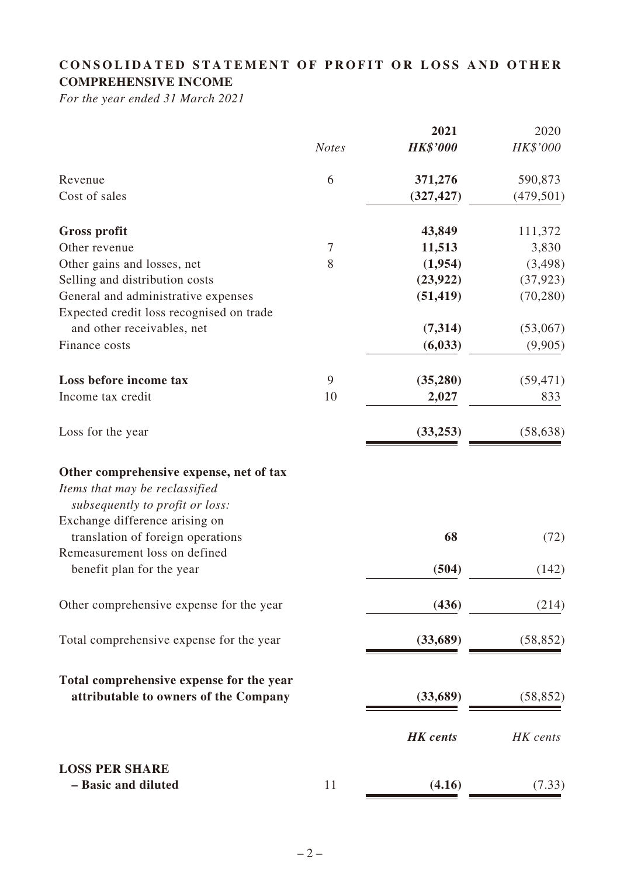# **CONSOLIDATED STATEMENT OF PROFIT OR LOSS AND OTHER COMPREHENSIVE INCOME**

*For the year ended 31 March 2021*

|                                                                                                              |              | 2021            | 2020       |
|--------------------------------------------------------------------------------------------------------------|--------------|-----------------|------------|
|                                                                                                              | <b>Notes</b> | <b>HK\$'000</b> | HK\$'000   |
| Revenue                                                                                                      | 6            | 371,276         | 590,873    |
| Cost of sales                                                                                                |              | (327, 427)      | (479, 501) |
| <b>Gross profit</b>                                                                                          |              | 43,849          | 111,372    |
| Other revenue                                                                                                | 7            | 11,513          | 3,830      |
| Other gains and losses, net                                                                                  | 8            | (1,954)         | (3, 498)   |
| Selling and distribution costs                                                                               |              | (23, 922)       | (37, 923)  |
| General and administrative expenses                                                                          |              | (51, 419)       | (70, 280)  |
| Expected credit loss recognised on trade                                                                     |              |                 |            |
| and other receivables, net                                                                                   |              | (7,314)         | (53,067)   |
| Finance costs                                                                                                |              | (6, 033)        | (9,905)    |
| Loss before income tax                                                                                       | 9            | (35, 280)       | (59, 471)  |
| Income tax credit                                                                                            | 10           | 2,027           | 833        |
| Loss for the year                                                                                            |              | (33, 253)       | (58, 638)  |
| Other comprehensive expense, net of tax<br>Items that may be reclassified<br>subsequently to profit or loss: |              |                 |            |
| Exchange difference arising on<br>translation of foreign operations                                          |              | 68              | (72)       |
| Remeasurement loss on defined<br>benefit plan for the year                                                   |              | (504)           | (142)      |
| Other comprehensive expense for the year                                                                     |              | (436)           | (214)      |
| Total comprehensive expense for the year                                                                     |              | (33, 689)       | (58, 852)  |
| Total comprehensive expense for the year                                                                     |              |                 |            |
| attributable to owners of the Company                                                                        |              | (33,689)        | (58, 852)  |
|                                                                                                              |              | <b>HK</b> cents | HK cents   |
| <b>LOSS PER SHARE</b>                                                                                        |              |                 |            |
| - Basic and diluted                                                                                          | 11           | (4.16)          | (7.33)     |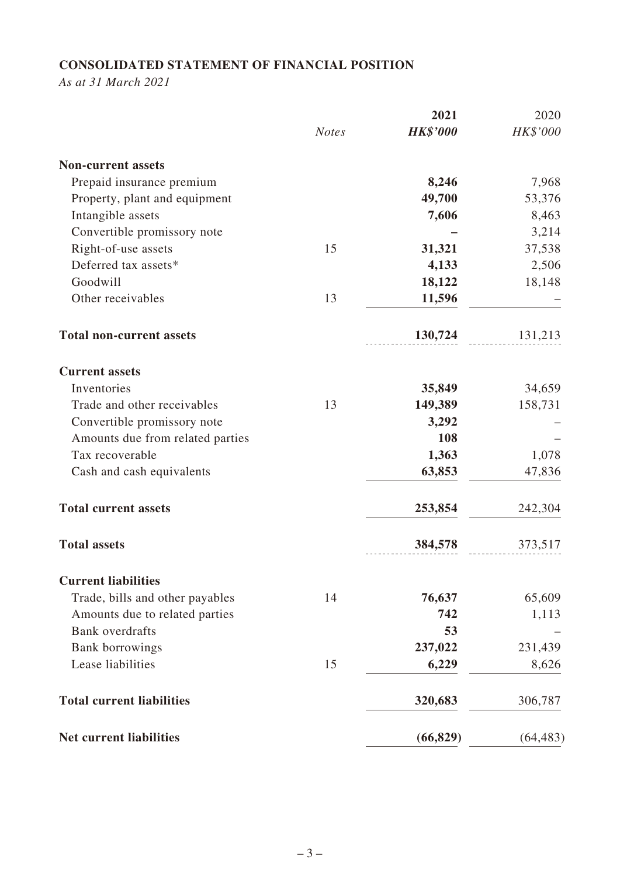# **CONSOLIDATED STATEMENT OF FINANCIAL POSITION**

*As at 31 March 2021*

|                                  |              | 2021            | 2020      |
|----------------------------------|--------------|-----------------|-----------|
|                                  | <b>Notes</b> | <b>HK\$'000</b> | HK\$'000  |
| <b>Non-current assets</b>        |              |                 |           |
| Prepaid insurance premium        |              | 8,246           | 7,968     |
| Property, plant and equipment    |              | 49,700          | 53,376    |
| Intangible assets                |              | 7,606           | 8,463     |
| Convertible promissory note      |              |                 | 3,214     |
| Right-of-use assets              | 15           | 31,321          | 37,538    |
| Deferred tax assets*             |              | 4,133           | 2,506     |
| Goodwill                         |              | 18,122          | 18,148    |
| Other receivables                | 13           | 11,596          |           |
| <b>Total non-current assets</b>  |              | 130,724         | 131,213   |
| <b>Current assets</b>            |              |                 |           |
| Inventories                      |              | 35,849          | 34,659    |
| Trade and other receivables      | 13           | 149,389         | 158,731   |
| Convertible promissory note      |              | 3,292           |           |
| Amounts due from related parties |              | 108             |           |
| Tax recoverable                  |              | 1,363           | 1,078     |
| Cash and cash equivalents        |              | 63,853          | 47,836    |
| <b>Total current assets</b>      |              | 253,854         | 242,304   |
| <b>Total assets</b>              |              | 384,578         | 373,517   |
| <b>Current liabilities</b>       |              |                 |           |
| Trade, bills and other payables  | 14           | 76,637          | 65,609    |
| Amounts due to related parties   |              | 742             | 1,113     |
| <b>Bank</b> overdrafts           |              | 53              |           |
| <b>Bank borrowings</b>           |              | 237,022         | 231,439   |
| Lease liabilities                | 15           | 6,229           | 8,626     |
| <b>Total current liabilities</b> |              | 320,683         | 306,787   |
| <b>Net current liabilities</b>   |              | (66, 829)       | (64, 483) |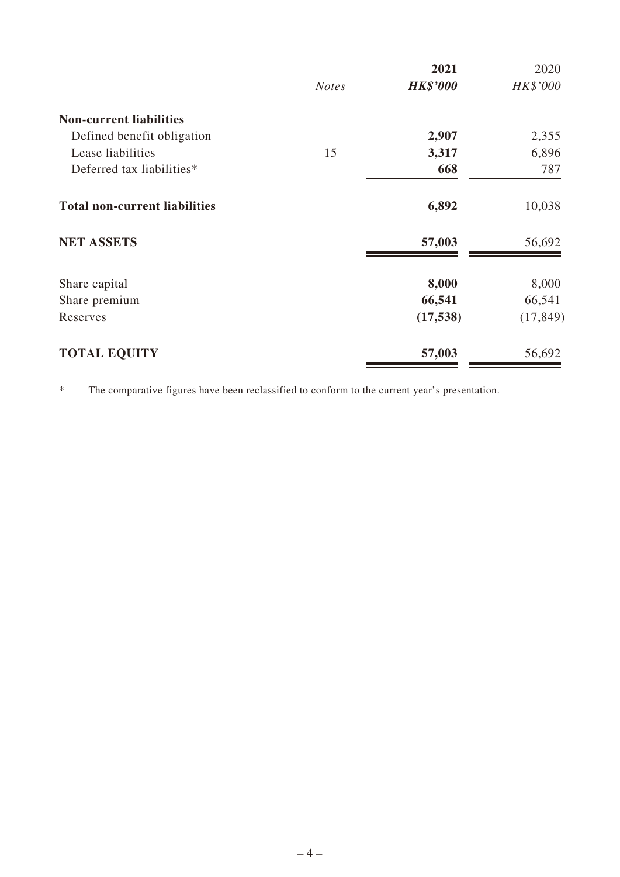|                                      |              | 2021            | 2020      |
|--------------------------------------|--------------|-----------------|-----------|
|                                      | <b>Notes</b> | <b>HK\$'000</b> | HK\$'000  |
| <b>Non-current liabilities</b>       |              |                 |           |
| Defined benefit obligation           |              | 2,907           | 2,355     |
| Lease liabilities                    | 15           | 3,317           | 6,896     |
| Deferred tax liabilities*            |              | 668             | 787       |
| <b>Total non-current liabilities</b> |              | 6,892           | 10,038    |
| <b>NET ASSETS</b>                    |              | 57,003          | 56,692    |
| Share capital                        |              | 8,000           | 8,000     |
| Share premium                        |              | 66,541          | 66,541    |
| Reserves                             |              | (17, 538)       | (17, 849) |
| <b>TOTAL EQUITY</b>                  |              | 57,003          | 56,692    |

\* The comparative figures have been reclassified to conform to the current year's presentation.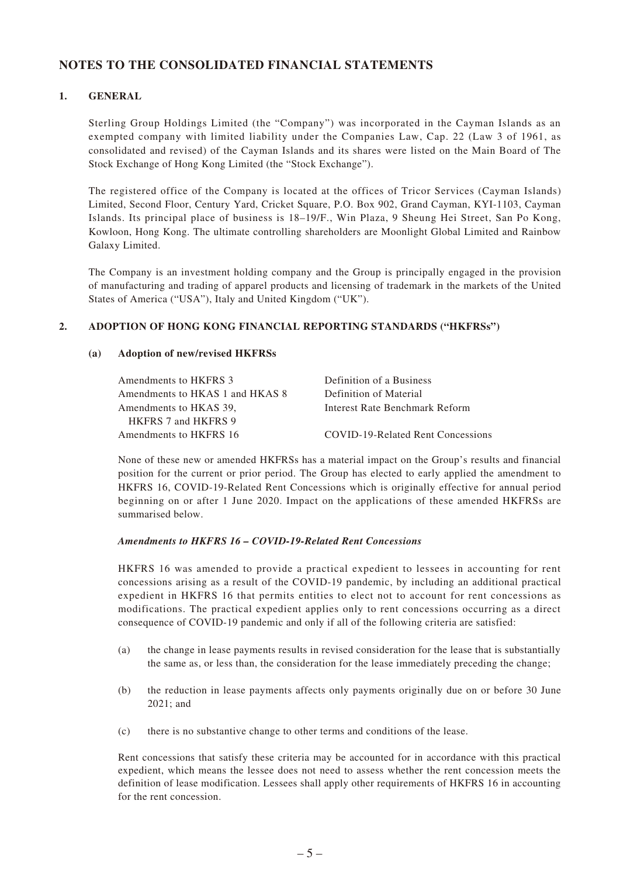### **NOTES TO THE CONSOLIDATED FINANCIAL STATEMENTS**

#### **1. GENERAL**

Sterling Group Holdings Limited (the "Company") was incorporated in the Cayman Islands as an exempted company with limited liability under the Companies Law, Cap. 22 (Law 3 of 1961, as consolidated and revised) of the Cayman Islands and its shares were listed on the Main Board of The Stock Exchange of Hong Kong Limited (the "Stock Exchange").

The registered office of the Company is located at the offices of Tricor Services (Cayman Islands) Limited, Second Floor, Century Yard, Cricket Square, P.O. Box 902, Grand Cayman, KYI-1103, Cayman Islands. Its principal place of business is 18–19/F., Win Plaza, 9 Sheung Hei Street, San Po Kong, Kowloon, Hong Kong. The ultimate controlling shareholders are Moonlight Global Limited and Rainbow Galaxy Limited.

The Company is an investment holding company and the Group is principally engaged in the provision of manufacturing and trading of apparel products and licensing of trademark in the markets of the United States of America ("USA"), Italy and United Kingdom ("UK").

#### **2. ADOPTION OF HONG KONG FINANCIAL REPORTING STANDARDS ("HKFRSs")**

#### **(a) Adoption of new/revised HKFRSs**

| Amendments to HKFRS 3           | Definition of a Business          |
|---------------------------------|-----------------------------------|
| Amendments to HKAS 1 and HKAS 8 | Definition of Material            |
| Amendments to HKAS 39.          | Interest Rate Benchmark Reform    |
| HKFRS 7 and HKFRS 9             |                                   |
| Amendments to HKFRS 16          | COVID-19-Related Rent Concessions |

None of these new or amended HKFRSs has a material impact on the Group's results and financial position for the current or prior period. The Group has elected to early applied the amendment to HKFRS 16, COVID-19-Related Rent Concessions which is originally effective for annual period beginning on or after 1 June 2020. Impact on the applications of these amended HKFRSs are summarised below.

#### *Amendments to HKFRS 16 – COVID-19-Related Rent Concessions*

HKFRS 16 was amended to provide a practical expedient to lessees in accounting for rent concessions arising as a result of the COVID-19 pandemic, by including an additional practical expedient in HKFRS 16 that permits entities to elect not to account for rent concessions as modifications. The practical expedient applies only to rent concessions occurring as a direct consequence of COVID-19 pandemic and only if all of the following criteria are satisfied:

- (a) the change in lease payments results in revised consideration for the lease that is substantially the same as, or less than, the consideration for the lease immediately preceding the change;
- (b) the reduction in lease payments affects only payments originally due on or before 30 June 2021; and
- (c) there is no substantive change to other terms and conditions of the lease.

Rent concessions that satisfy these criteria may be accounted for in accordance with this practical expedient, which means the lessee does not need to assess whether the rent concession meets the definition of lease modification. Lessees shall apply other requirements of HKFRS 16 in accounting for the rent concession.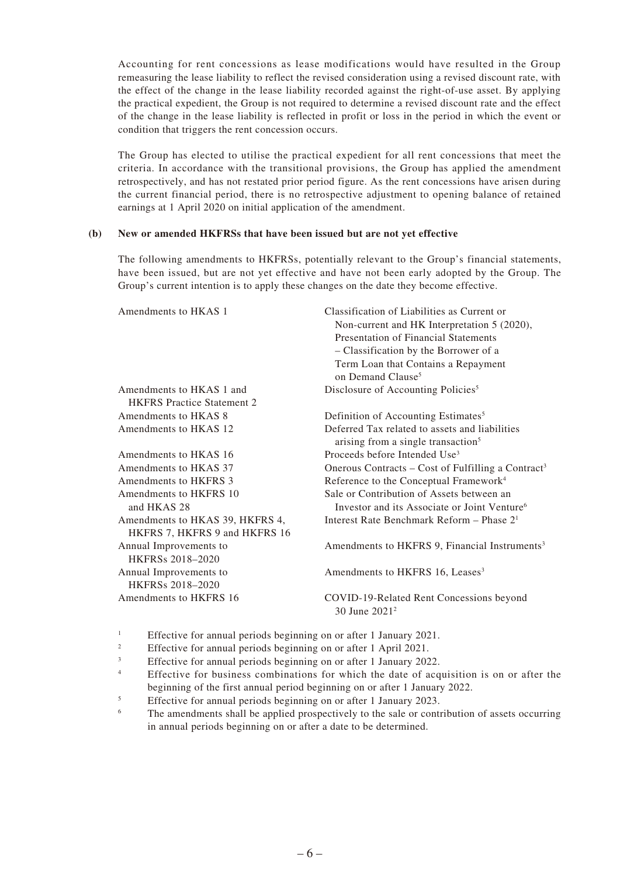Accounting for rent concessions as lease modifications would have resulted in the Group remeasuring the lease liability to reflect the revised consideration using a revised discount rate, with the effect of the change in the lease liability recorded against the right-of-use asset. By applying the practical expedient, the Group is not required to determine a revised discount rate and the effect of the change in the lease liability is reflected in profit or loss in the period in which the event or condition that triggers the rent concession occurs.

The Group has elected to utilise the practical expedient for all rent concessions that meet the criteria. In accordance with the transitional provisions, the Group has applied the amendment retrospectively, and has not restated prior period figure. As the rent concessions have arisen during the current financial period, there is no retrospective adjustment to opening balance of retained earnings at 1 April 2020 on initial application of the amendment.

#### **(b) New or amended HKFRSs that have been issued but are not yet effective**

The following amendments to HKFRSs, potentially relevant to the Group's financial statements, have been issued, but are not yet effective and have not been early adopted by the Group. The Group's current intention is to apply these changes on the date they become effective.

| Amendments to HKAS 1              | Classification of Liabilities as Current or<br>Non-current and HK Interpretation 5 (2020), |
|-----------------------------------|--------------------------------------------------------------------------------------------|
|                                   | Presentation of Financial Statements                                                       |
|                                   | - Classification by the Borrower of a                                                      |
|                                   | Term Loan that Contains a Repayment                                                        |
|                                   | on Demand Clause <sup>5</sup>                                                              |
| Amendments to HKAS 1 and          | Disclosure of Accounting Policies <sup>5</sup>                                             |
| <b>HKFRS</b> Practice Statement 2 |                                                                                            |
| Amendments to HKAS 8              | Definition of Accounting Estimates <sup>5</sup>                                            |
| Amendments to HKAS 12             | Deferred Tax related to assets and liabilities                                             |
|                                   | arising from a single transaction <sup>5</sup>                                             |
| Amendments to HKAS 16             | Proceeds before Intended Use <sup>3</sup>                                                  |
| Amendments to HKAS 37             | Onerous Contracts – Cost of Fulfilling a Contract <sup>3</sup>                             |
| <b>Amendments to HKFRS 3</b>      | Reference to the Conceptual Framework <sup>4</sup>                                         |
| Amendments to HKFRS 10            | Sale or Contribution of Assets between an                                                  |
| and HKAS 28                       | Investor and its Associate or Joint Venture <sup>6</sup>                                   |
| Amendments to HKAS 39, HKFRS 4,   | Interest Rate Benchmark Reform - Phase 2 <sup>1</sup>                                      |
| HKFRS 7, HKFRS 9 and HKFRS 16     |                                                                                            |
| Annual Improvements to            | Amendments to HKFRS 9, Financial Instruments <sup>3</sup>                                  |
| HKFRSs 2018-2020                  |                                                                                            |
| Annual Improvements to            | Amendments to HKFRS 16, Leases <sup>3</sup>                                                |
| <b>HKFRSs 2018-2020</b>           |                                                                                            |
| Amendments to HKFRS 16            | COVID-19-Related Rent Concessions beyond                                                   |
|                                   | 30 June 2021 <sup>2</sup>                                                                  |
|                                   |                                                                                            |

<sup>1</sup> Effective for annual periods beginning on or after 1 January 2021.

- <sup>2</sup> Effective for annual periods beginning on or after 1 April 2021.
- <sup>3</sup> Effective for annual periods beginning on or after 1 January 2022.
- <sup>4</sup> Effective for business combinations for which the date of acquisition is on or after the beginning of the first annual period beginning on or after 1 January 2022.
- <sup>5</sup> Effective for annual periods beginning on or after 1 January 2023.
- <sup>6</sup> The amendments shall be applied prospectively to the sale or contribution of assets occurring in annual periods beginning on or after a date to be determined.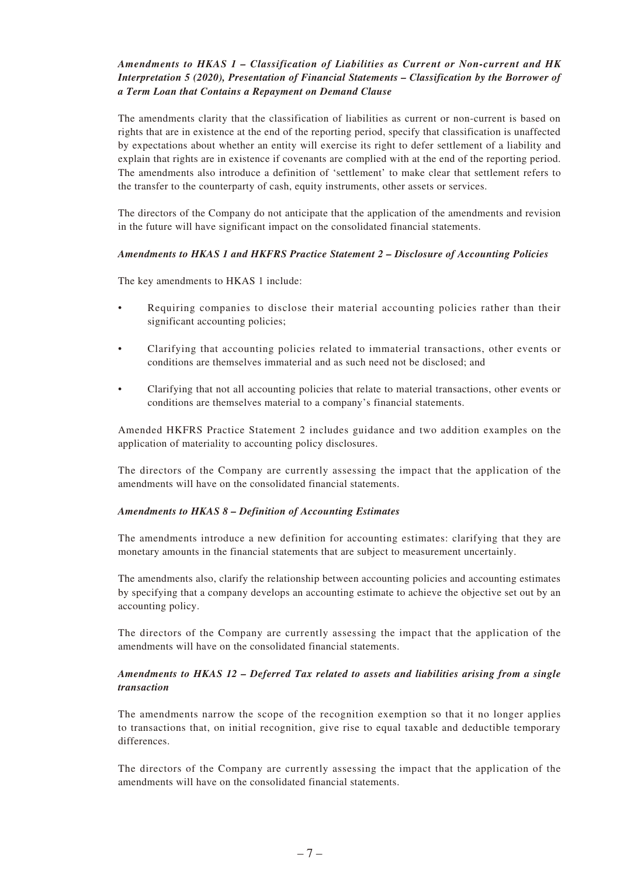#### *Amendments to HKAS 1 – Classification of Liabilities as Current or Non-current and HK Interpretation 5 (2020), Presentation of Financial Statements – Classification by the Borrower of a Term Loan that Contains a Repayment on Demand Clause*

The amendments clarity that the classification of liabilities as current or non-current is based on rights that are in existence at the end of the reporting period, specify that classification is unaffected by expectations about whether an entity will exercise its right to defer settlement of a liability and explain that rights are in existence if covenants are complied with at the end of the reporting period. The amendments also introduce a definition of 'settlement' to make clear that settlement refers to the transfer to the counterparty of cash, equity instruments, other assets or services.

The directors of the Company do not anticipate that the application of the amendments and revision in the future will have significant impact on the consolidated financial statements.

#### *Amendments to HKAS 1 and HKFRS Practice Statement 2 – Disclosure of Accounting Policies*

The key amendments to HKAS 1 include:

- Requiring companies to disclose their material accounting policies rather than their significant accounting policies;
- Clarifying that accounting policies related to immaterial transactions, other events or conditions are themselves immaterial and as such need not be disclosed; and
- Clarifying that not all accounting policies that relate to material transactions, other events or conditions are themselves material to a company's financial statements.

Amended HKFRS Practice Statement 2 includes guidance and two addition examples on the application of materiality to accounting policy disclosures.

The directors of the Company are currently assessing the impact that the application of the amendments will have on the consolidated financial statements.

#### *Amendments to HKAS 8 – Definition of Accounting Estimates*

The amendments introduce a new definition for accounting estimates: clarifying that they are monetary amounts in the financial statements that are subject to measurement uncertainly.

The amendments also, clarify the relationship between accounting policies and accounting estimates by specifying that a company develops an accounting estimate to achieve the objective set out by an accounting policy.

The directors of the Company are currently assessing the impact that the application of the amendments will have on the consolidated financial statements.

#### *Amendments to HKAS 12 – Deferred Tax related to assets and liabilities arising from a single transaction*

The amendments narrow the scope of the recognition exemption so that it no longer applies to transactions that, on initial recognition, give rise to equal taxable and deductible temporary differences.

The directors of the Company are currently assessing the impact that the application of the amendments will have on the consolidated financial statements.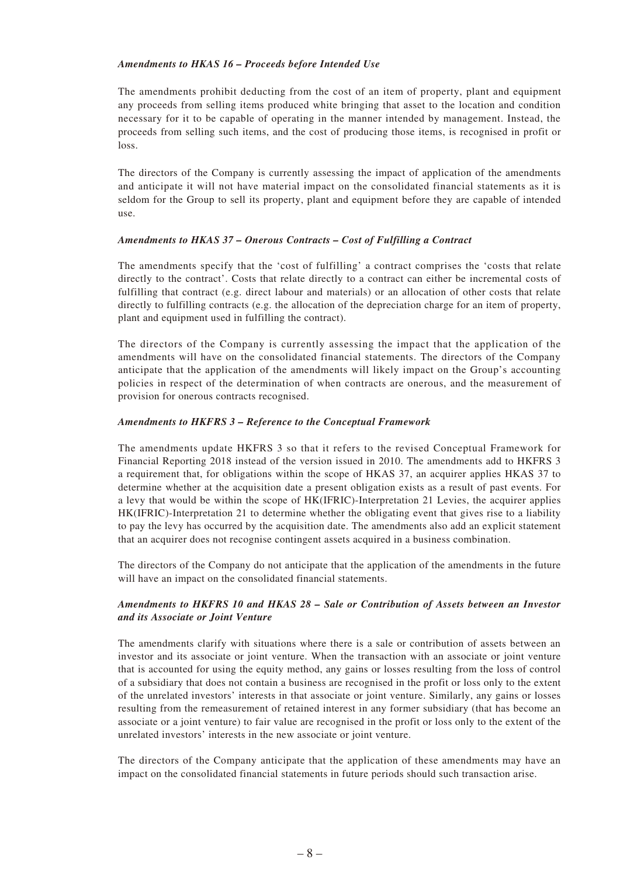#### *Amendments to HKAS 16 – Proceeds before Intended Use*

The amendments prohibit deducting from the cost of an item of property, plant and equipment any proceeds from selling items produced white bringing that asset to the location and condition necessary for it to be capable of operating in the manner intended by management. Instead, the proceeds from selling such items, and the cost of producing those items, is recognised in profit or loss.

The directors of the Company is currently assessing the impact of application of the amendments and anticipate it will not have material impact on the consolidated financial statements as it is seldom for the Group to sell its property, plant and equipment before they are capable of intended use.

#### *Amendments to HKAS 37 – Onerous Contracts – Cost of Fulfilling a Contract*

The amendments specify that the 'cost of fulfilling' a contract comprises the 'costs that relate directly to the contract'. Costs that relate directly to a contract can either be incremental costs of fulfilling that contract (e.g. direct labour and materials) or an allocation of other costs that relate directly to fulfilling contracts (e.g. the allocation of the depreciation charge for an item of property, plant and equipment used in fulfilling the contract).

The directors of the Company is currently assessing the impact that the application of the amendments will have on the consolidated financial statements. The directors of the Company anticipate that the application of the amendments will likely impact on the Group's accounting policies in respect of the determination of when contracts are onerous, and the measurement of provision for onerous contracts recognised.

#### *Amendments to HKFRS 3 – Reference to the Conceptual Framework*

The amendments update HKFRS 3 so that it refers to the revised Conceptual Framework for Financial Reporting 2018 instead of the version issued in 2010. The amendments add to HKFRS 3 a requirement that, for obligations within the scope of HKAS 37, an acquirer applies HKAS 37 to determine whether at the acquisition date a present obligation exists as a result of past events. For a levy that would be within the scope of HK(IFRIC)-Interpretation 21 Levies, the acquirer applies HK(IFRIC)-Interpretation 21 to determine whether the obligating event that gives rise to a liability to pay the levy has occurred by the acquisition date. The amendments also add an explicit statement that an acquirer does not recognise contingent assets acquired in a business combination.

The directors of the Company do not anticipate that the application of the amendments in the future will have an impact on the consolidated financial statements.

#### *Amendments to HKFRS 10 and HKAS 28 – Sale or Contribution of Assets between an Investor and its Associate or Joint Venture*

The amendments clarify with situations where there is a sale or contribution of assets between an investor and its associate or joint venture. When the transaction with an associate or joint venture that is accounted for using the equity method, any gains or losses resulting from the loss of control of a subsidiary that does not contain a business are recognised in the profit or loss only to the extent of the unrelated investors' interests in that associate or joint venture. Similarly, any gains or losses resulting from the remeasurement of retained interest in any former subsidiary (that has become an associate or a joint venture) to fair value are recognised in the profit or loss only to the extent of the unrelated investors' interests in the new associate or joint venture.

The directors of the Company anticipate that the application of these amendments may have an impact on the consolidated financial statements in future periods should such transaction arise.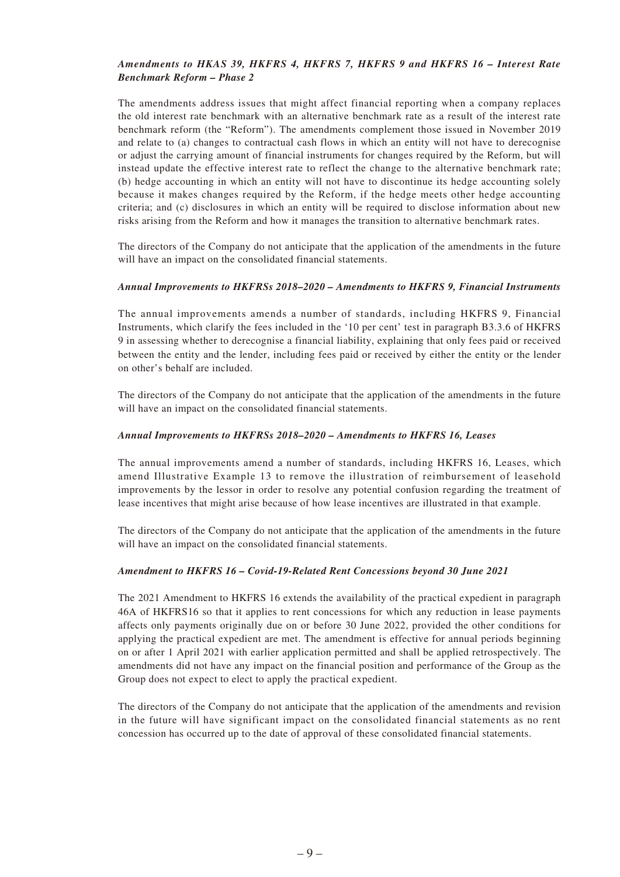#### *Amendments to HKAS 39, HKFRS 4, HKFRS 7, HKFRS 9 and HKFRS 16 – Interest Rate Benchmark Reform – Phase 2*

The amendments address issues that might affect financial reporting when a company replaces the old interest rate benchmark with an alternative benchmark rate as a result of the interest rate benchmark reform (the "Reform"). The amendments complement those issued in November 2019 and relate to (a) changes to contractual cash flows in which an entity will not have to derecognise or adjust the carrying amount of financial instruments for changes required by the Reform, but will instead update the effective interest rate to reflect the change to the alternative benchmark rate; (b) hedge accounting in which an entity will not have to discontinue its hedge accounting solely because it makes changes required by the Reform, if the hedge meets other hedge accounting criteria; and (c) disclosures in which an entity will be required to disclose information about new risks arising from the Reform and how it manages the transition to alternative benchmark rates.

The directors of the Company do not anticipate that the application of the amendments in the future will have an impact on the consolidated financial statements.

#### *Annual Improvements to HKFRSs 2018–2020 – Amendments to HKFRS 9, Financial Instruments*

The annual improvements amends a number of standards, including HKFRS 9, Financial Instruments, which clarify the fees included in the '10 per cent' test in paragraph B3.3.6 of HKFRS 9 in assessing whether to derecognise a financial liability, explaining that only fees paid or received between the entity and the lender, including fees paid or received by either the entity or the lender on other's behalf are included.

The directors of the Company do not anticipate that the application of the amendments in the future will have an impact on the consolidated financial statements.

#### *Annual Improvements to HKFRSs 2018–2020 – Amendments to HKFRS 16, Leases*

The annual improvements amend a number of standards, including HKFRS 16, Leases, which amend Illustrative Example 13 to remove the illustration of reimbursement of leasehold improvements by the lessor in order to resolve any potential confusion regarding the treatment of lease incentives that might arise because of how lease incentives are illustrated in that example.

The directors of the Company do not anticipate that the application of the amendments in the future will have an impact on the consolidated financial statements.

#### *Amendment to HKFRS 16 – Covid-19-Related Rent Concessions beyond 30 June 2021*

The 2021 Amendment to HKFRS 16 extends the availability of the practical expedient in paragraph 46A of HKFRS16 so that it applies to rent concessions for which any reduction in lease payments affects only payments originally due on or before 30 June 2022, provided the other conditions for applying the practical expedient are met. The amendment is effective for annual periods beginning on or after 1 April 2021 with earlier application permitted and shall be applied retrospectively. The amendments did not have any impact on the financial position and performance of the Group as the Group does not expect to elect to apply the practical expedient.

The directors of the Company do not anticipate that the application of the amendments and revision in the future will have significant impact on the consolidated financial statements as no rent concession has occurred up to the date of approval of these consolidated financial statements.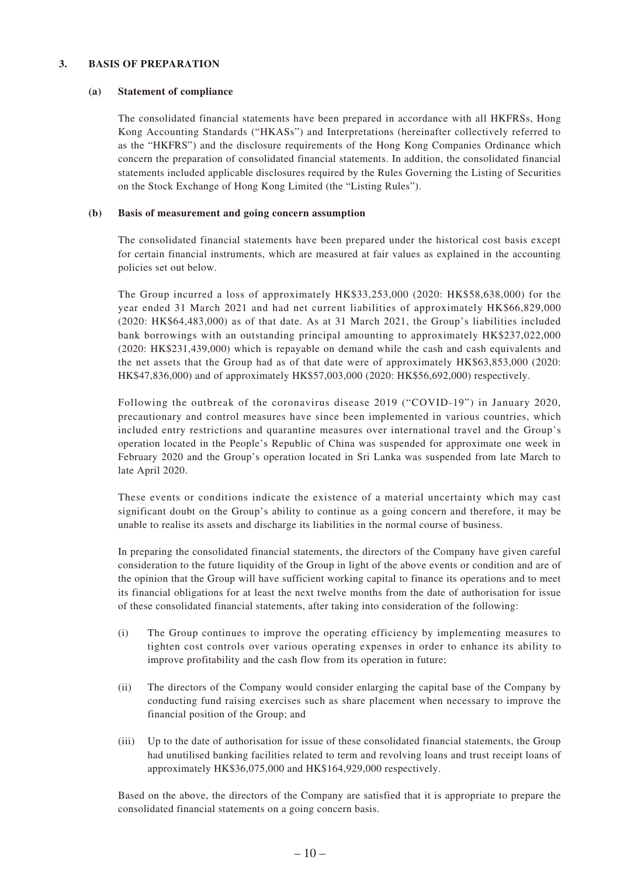#### **3. BASIS OF PREPARATION**

#### **(a) Statement of compliance**

The consolidated financial statements have been prepared in accordance with all HKFRSs, Hong Kong Accounting Standards ("HKASs") and Interpretations (hereinafter collectively referred to as the "HKFRS") and the disclosure requirements of the Hong Kong Companies Ordinance which concern the preparation of consolidated financial statements. In addition, the consolidated financial statements included applicable disclosures required by the Rules Governing the Listing of Securities on the Stock Exchange of Hong Kong Limited (the "Listing Rules").

#### **(b) Basis of measurement and going concern assumption**

The consolidated financial statements have been prepared under the historical cost basis except for certain financial instruments, which are measured at fair values as explained in the accounting policies set out below.

The Group incurred a loss of approximately HK\$33,253,000 (2020: HK\$58,638,000) for the year ended 31 March 2021 and had net current liabilities of approximately HK\$66,829,000 (2020: HK\$64,483,000) as of that date. As at 31 March 2021, the Group's liabilities included bank borrowings with an outstanding principal amounting to approximately HK\$237,022,000 (2020: HK\$231,439,000) which is repayable on demand while the cash and cash equivalents and the net assets that the Group had as of that date were of approximately HK\$63,853,000 (2020: HK\$47,836,000) and of approximately HK\$57,003,000 (2020: HK\$56,692,000) respectively.

Following the outbreak of the coronavirus disease 2019 ("COVID-19") in January 2020, precautionary and control measures have since been implemented in various countries, which included entry restrictions and quarantine measures over international travel and the Group's operation located in the People's Republic of China was suspended for approximate one week in February 2020 and the Group's operation located in Sri Lanka was suspended from late March to late April 2020.

These events or conditions indicate the existence of a material uncertainty which may cast significant doubt on the Group's ability to continue as a going concern and therefore, it may be unable to realise its assets and discharge its liabilities in the normal course of business.

In preparing the consolidated financial statements, the directors of the Company have given careful consideration to the future liquidity of the Group in light of the above events or condition and are of the opinion that the Group will have sufficient working capital to finance its operations and to meet its financial obligations for at least the next twelve months from the date of authorisation for issue of these consolidated financial statements, after taking into consideration of the following:

- (i) The Group continues to improve the operating efficiency by implementing measures to tighten cost controls over various operating expenses in order to enhance its ability to improve profitability and the cash flow from its operation in future;
- (ii) The directors of the Company would consider enlarging the capital base of the Company by conducting fund raising exercises such as share placement when necessary to improve the financial position of the Group; and
- (iii) Up to the date of authorisation for issue of these consolidated financial statements, the Group had unutilised banking facilities related to term and revolving loans and trust receipt loans of approximately HK\$36,075,000 and HK\$164,929,000 respectively.

Based on the above, the directors of the Company are satisfied that it is appropriate to prepare the consolidated financial statements on a going concern basis.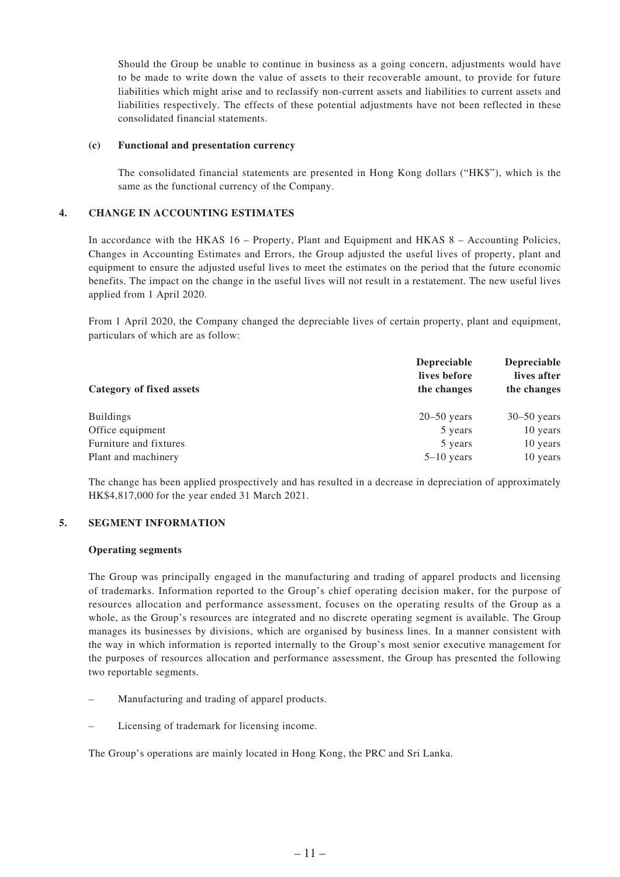Should the Group be unable to continue in business as a going concern, adjustments would have to be made to write down the value of assets to their recoverable amount, to provide for future liabilities which might arise and to reclassify non-current assets and liabilities to current assets and liabilities respectively. The effects of these potential adjustments have not been reflected in these consolidated financial statements.

#### **(c) Functional and presentation currency**

The consolidated financial statements are presented in Hong Kong dollars ("HK\$"), which is the same as the functional currency of the Company.

#### **4. CHANGE IN ACCOUNTING ESTIMATES**

In accordance with the HKAS 16 – Property, Plant and Equipment and HKAS 8 – Accounting Policies, Changes in Accounting Estimates and Errors, the Group adjusted the useful lives of property, plant and equipment to ensure the adjusted useful lives to meet the estimates on the period that the future economic benefits. The impact on the change in the useful lives will not result in a restatement. The new useful lives applied from 1 April 2020.

From 1 April 2020, the Company changed the depreciable lives of certain property, plant and equipment, particulars of which are as follow:

|                                 | <b>Depreciable</b><br>lives before | <b>Depreciable</b><br>lives after |
|---------------------------------|------------------------------------|-----------------------------------|
| <b>Category of fixed assets</b> | the changes                        | the changes                       |
| <b>Buildings</b>                | $20 - 50$ years                    | $30 - 50$ years                   |
| Office equipment                | 5 years                            | 10 years                          |
| Furniture and fixtures          | 5 years                            | 10 years                          |
| Plant and machinery             | $5-10$ years                       | 10 years                          |

The change has been applied prospectively and has resulted in a decrease in depreciation of approximately HK\$4,817,000 for the year ended 31 March 2021.

#### **5. SEGMENT INFORMATION**

#### **Operating segments**

The Group was principally engaged in the manufacturing and trading of apparel products and licensing of trademarks. Information reported to the Group's chief operating decision maker, for the purpose of resources allocation and performance assessment, focuses on the operating results of the Group as a whole, as the Group's resources are integrated and no discrete operating segment is available. The Group manages its businesses by divisions, which are organised by business lines. In a manner consistent with the way in which information is reported internally to the Group's most senior executive management for the purposes of resources allocation and performance assessment, the Group has presented the following two reportable segments.

- Manufacturing and trading of apparel products.
- Licensing of trademark for licensing income.

The Group's operations are mainly located in Hong Kong, the PRC and Sri Lanka.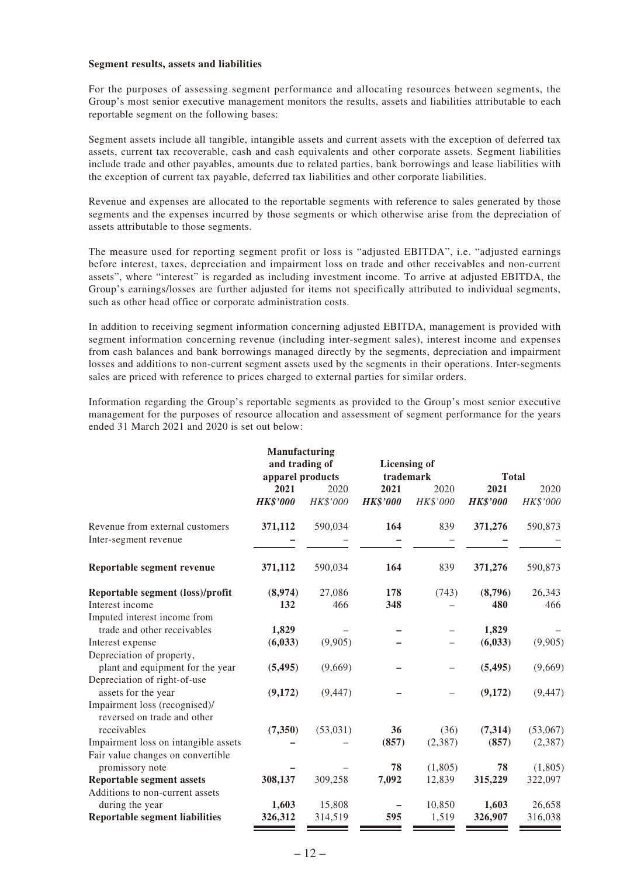#### **Segment results, assets and liabilities**

For the purposes of assessing segment performance and allocating resources between segments, the Group's most senior executive management monitors the results, assets and liabilities attributable to each reportable segment on the following bases:

Segment assets include all tangible, intangible assets and current assets with the exception of deferred tax assets, current tax recoverable, cash and cash equivalents and other corporate assets. Segment liabilities include trade and other payables, amounts due to related parties, bank borrowings and lease liabilities with the exception of current tax payable, deferred tax liabilities and other corporate liabilities.

Revenue and expenses are allocated to the reportable segments with reference to sales generated by those segments and the expenses incurred by those segments or which otherwise arise from the depreciation of assets attributable to those segments.

The measure used for reporting segment profit or loss is "adjusted EBITDA", i.e. "adjusted earnings before interest, taxes, depreciation and impairment loss on trade and other receivables and non-current assets", where "interest" is regarded as including investment income. To arrive at adjusted EBITDA, the Group's earnings/losses are further adjusted for items not specifically attributed to individual segments, such as other head office or corporate administration costs.

In addition to receiving segment information concerning adjusted EBITDA, management is provided with segment information concerning revenue (including inter-segment sales), interest income and expenses from cash balances and bank borrowings managed directly by the segments, depreciation and impairment losses and additions to non-current segment assets used by the segments in their operations. Inter-segments sales are priced with reference to prices charged to external parties for similar orders.

Information regarding the Group's reportable segments as provided to the Group's most senior executive management for the purposes of resource allocation and assessment of segment performance for the years ended 31 March 2021 and 2020 is set out below:

|                                                              | Manufacturing    |           |                     |                          |                 |          |
|--------------------------------------------------------------|------------------|-----------|---------------------|--------------------------|-----------------|----------|
|                                                              | and trading of   |           | <b>Licensing of</b> |                          |                 |          |
|                                                              | apparel products |           | trademark           |                          | <b>Total</b>    |          |
|                                                              | 2021             | 2020      | 2021                | 2020                     | 2021            | 2020     |
|                                                              | <b>HK\$'000</b>  | HK\$'000  | <b>HK\$'000</b>     | HK\$'000                 | <b>HK\$'000</b> | HK\$'000 |
| Revenue from external customers<br>Inter-segment revenue     | 371,112          | 590,034   | 164                 | 839                      | 371,276         | 590,873  |
| Reportable segment revenue                                   | 371,112          | 590,034   | 164                 | 839                      | 371,276         | 590,873  |
| Reportable segment (loss)/profit                             | (8,974)          | 27,086    | 178                 | (743)                    | (8,796)         | 26,343   |
| Interest income                                              | 132              | 466       | 348                 |                          | 480             | 466      |
| Imputed interest income from                                 |                  |           |                     |                          |                 |          |
| trade and other receivables                                  | 1,829            |           |                     |                          | 1,829           |          |
| Interest expense                                             | (6, 033)         | (9,905)   |                     |                          | (6, 033)        | (9,905)  |
| Depreciation of property,                                    |                  |           |                     |                          |                 |          |
| plant and equipment for the year                             | (5, 495)         | (9,669)   |                     | $\overline{\phantom{0}}$ | (5, 495)        | (9,669)  |
| Depreciation of right-of-use                                 |                  |           |                     |                          |                 |          |
| assets for the year                                          | (9,172)          | (9, 447)  |                     |                          | (9,172)         | (9, 447) |
| Impairment loss (recognised)/<br>reversed on trade and other |                  |           |                     |                          |                 |          |
| receivables                                                  | (7,350)          | (53, 031) | 36                  | (36)                     | (7, 314)        | (53,067) |
| Impairment loss on intangible assets                         |                  |           | (857)               | (2,387)                  | (857)           | (2, 387) |
| Fair value changes on convertible                            |                  |           |                     |                          |                 |          |
| promissory note                                              |                  |           | 78                  | (1,805)                  | 78              | (1,805)  |
| <b>Reportable segment assets</b>                             | 308,137          | 309,258   | 7,092               | 12,839                   | 315,229         | 322,097  |
| Additions to non-current assets                              |                  |           |                     |                          |                 |          |
| during the year                                              | 1,603            | 15,808    |                     | 10,850                   | 1,603           | 26,658   |
| <b>Reportable segment liabilities</b>                        | 326,312          | 314,519   | 595                 | 1,519                    | 326,907         | 316,038  |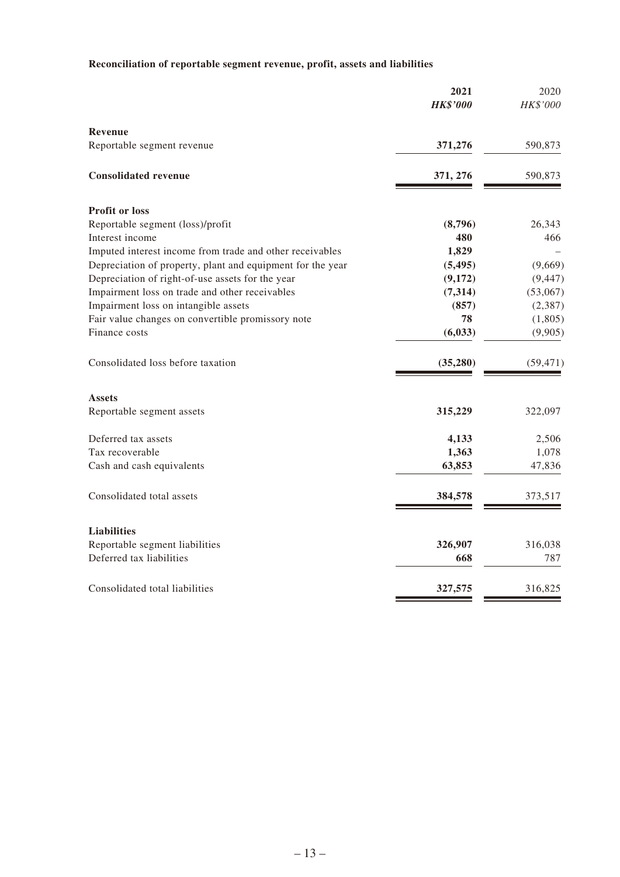# **Reconciliation of reportable segment revenue, profit, assets and liabilities**

|                                                            | 2021<br><b>HK\$'000</b> | 2020<br>HK\$'000 |
|------------------------------------------------------------|-------------------------|------------------|
| <b>Revenue</b>                                             |                         |                  |
| Reportable segment revenue                                 | 371,276                 | 590,873          |
| <b>Consolidated revenue</b>                                | 371, 276                | 590,873          |
| <b>Profit or loss</b>                                      |                         |                  |
| Reportable segment (loss)/profit                           | (8,796)                 | 26,343           |
| Interest income                                            | 480                     | 466              |
| Imputed interest income from trade and other receivables   | 1,829                   |                  |
| Depreciation of property, plant and equipment for the year | (5, 495)                | (9,669)          |
| Depreciation of right-of-use assets for the year           | (9,172)                 | (9, 447)         |
| Impairment loss on trade and other receivables             | (7,314)                 | (53,067)         |
| Impairment loss on intangible assets                       | (857)                   | (2, 387)         |
| Fair value changes on convertible promissory note          | 78                      | (1,805)          |
| Finance costs                                              | (6, 033)                | (9,905)          |
| Consolidated loss before taxation                          | (35, 280)               | (59, 471)        |
| <b>Assets</b>                                              |                         |                  |
| Reportable segment assets                                  | 315,229                 | 322,097          |
| Deferred tax assets                                        | 4,133                   | 2,506            |
| Tax recoverable                                            | 1,363                   | 1,078            |
| Cash and cash equivalents                                  | 63,853                  | 47,836           |
| Consolidated total assets                                  | 384,578                 | 373,517          |
| <b>Liabilities</b>                                         |                         |                  |
| Reportable segment liabilities                             | 326,907                 | 316,038          |
| Deferred tax liabilities                                   | 668                     | 787              |
| Consolidated total liabilities                             | 327,575                 | 316,825          |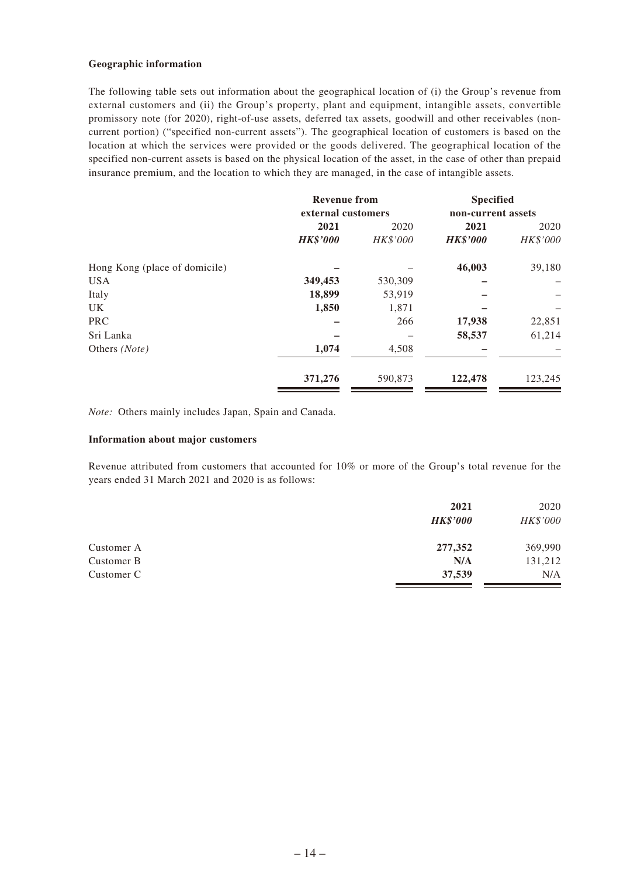#### **Geographic information**

The following table sets out information about the geographical location of (i) the Group's revenue from external customers and (ii) the Group's property, plant and equipment, intangible assets, convertible promissory note (for 2020), right-of-use assets, deferred tax assets, goodwill and other receivables (noncurrent portion) ("specified non-current assets"). The geographical location of customers is based on the location at which the services were provided or the goods delivered. The geographical location of the specified non-current assets is based on the physical location of the asset, in the case of other than prepaid insurance premium, and the location to which they are managed, in the case of intangible assets.

|                               | <b>Revenue from</b><br>external customers |                 | <b>Specified</b><br>non-current assets |          |  |
|-------------------------------|-------------------------------------------|-----------------|----------------------------------------|----------|--|
|                               |                                           |                 |                                        |          |  |
|                               | 2021                                      | 2020            | 2021                                   | 2020     |  |
|                               | <b>HK\$'000</b>                           | <b>HK\$'000</b> | <b>HK\$'000</b>                        | HK\$'000 |  |
| Hong Kong (place of domicile) |                                           |                 | 46,003                                 | 39,180   |  |
| <b>USA</b>                    | 349,453                                   | 530,309         |                                        |          |  |
| Italy                         | 18,899                                    | 53,919          |                                        |          |  |
| UK.                           | 1,850                                     | 1,871           |                                        |          |  |
| <b>PRC</b>                    |                                           | 266             | 17,938                                 | 22,851   |  |
| Sri Lanka                     |                                           |                 | 58,537                                 | 61,214   |  |
| Others (Note)                 | 1,074                                     | 4,508           |                                        |          |  |
|                               | 371,276                                   | 590,873         | 122,478                                | 123,245  |  |

*Note:* Others mainly includes Japan, Spain and Canada.

#### **Information about major customers**

Revenue attributed from customers that accounted for 10% or more of the Group's total revenue for the years ended 31 March 2021 and 2020 is as follows:

|            | 2021<br><b>HK\$'000</b> | 2020<br>HK\$'000 |
|------------|-------------------------|------------------|
| Customer A | 277,352                 | 369,990          |
| Customer B | N/A                     | 131,212          |
| Customer C | 37,539                  | N/A              |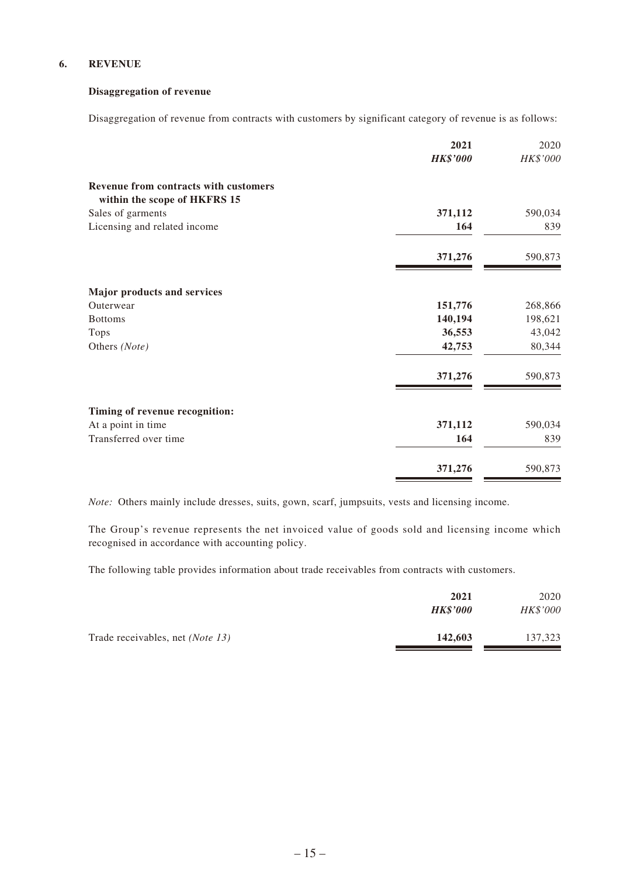#### **6. REVENUE**

#### **Disaggregation of revenue**

Disaggregation of revenue from contracts with customers by significant category of revenue is as follows:

|                                                                       | 2021            | 2020     |
|-----------------------------------------------------------------------|-----------------|----------|
|                                                                       | <b>HK\$'000</b> | HK\$'000 |
| Revenue from contracts with customers<br>within the scope of HKFRS 15 |                 |          |
| Sales of garments                                                     | 371,112         | 590,034  |
| Licensing and related income                                          | 164             | 839      |
|                                                                       | 371,276         | 590,873  |
| <b>Major products and services</b>                                    |                 |          |
| Outerwear                                                             | 151,776         | 268,866  |
| <b>Bottoms</b>                                                        | 140,194         | 198,621  |
| Tops                                                                  | 36,553          | 43,042   |
| Others (Note)                                                         | 42,753          | 80,344   |
|                                                                       | 371,276         | 590,873  |
| Timing of revenue recognition:                                        |                 |          |
| At a point in time                                                    | 371,112         | 590,034  |
| Transferred over time                                                 | 164             | 839      |
|                                                                       | 371,276         | 590,873  |

*Note:* Others mainly include dresses, suits, gown, scarf, jumpsuits, vests and licensing income.

The Group's revenue represents the net invoiced value of goods sold and licensing income which recognised in accordance with accounting policy.

The following table provides information about trade receivables from contracts with customers.

|                                         | 2021<br><b>HK\$'000</b> | 2020<br>HK\$'000 |
|-----------------------------------------|-------------------------|------------------|
| Trade receivables, net <i>(Note 13)</i> | 142,603                 | 137,323          |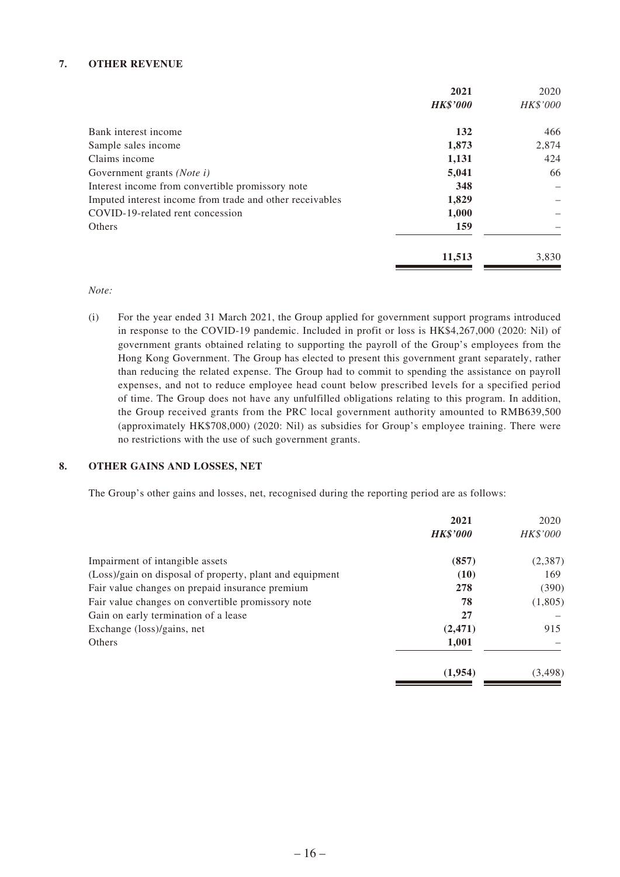#### **7. OTHER REVENUE**

|                                                          | 2021            | 2020            |
|----------------------------------------------------------|-----------------|-----------------|
|                                                          | <b>HK\$'000</b> | <b>HK\$'000</b> |
| Bank interest income                                     | 132             | 466             |
| Sample sales income                                      | 1,873           | 2,874           |
| Claims income                                            | 1,131           | 424             |
| Government grants ( <i>Note i</i> )                      | 5,041           | 66              |
| Interest income from convertible promissory note         | 348             |                 |
| Imputed interest income from trade and other receivables | 1,829           |                 |
| COVID-19-related rent concession                         | 1,000           |                 |
| Others                                                   | 159             |                 |
|                                                          | 11,513          | 3,830           |

*Note:*

(i) For the year ended 31 March 2021, the Group applied for government support programs introduced in response to the COVID-19 pandemic. Included in profit or loss is HK\$4,267,000 (2020: Nil) of government grants obtained relating to supporting the payroll of the Group's employees from the Hong Kong Government. The Group has elected to present this government grant separately, rather than reducing the related expense. The Group had to commit to spending the assistance on payroll expenses, and not to reduce employee head count below prescribed levels for a specified period of time. The Group does not have any unfulfilled obligations relating to this program. In addition, the Group received grants from the PRC local government authority amounted to RMB639,500 (approximately HK\$708,000) (2020: Nil) as subsidies for Group's employee training. There were no restrictions with the use of such government grants.

#### **8. OTHER GAINS AND LOSSES, NET**

The Group's other gains and losses, net, recognised during the reporting period are as follows:

|                                                          | 2021            | 2020            |
|----------------------------------------------------------|-----------------|-----------------|
|                                                          | <b>HK\$'000</b> | <i>HK\$'000</i> |
| Impairment of intangible assets                          | (857)           | (2,387)         |
| (Loss)/gain on disposal of property, plant and equipment | (10)            | 169             |
| Fair value changes on prepaid insurance premium          | 278             | (390)           |
| Fair value changes on convertible promissory note        | 78              | (1,805)         |
| Gain on early termination of a lease                     | 27              |                 |
| Exchange (loss)/gains, net                               | (2, 471)        | 915             |
| Others                                                   | 1,001           |                 |
|                                                          | (1.954)         | (3, 498)        |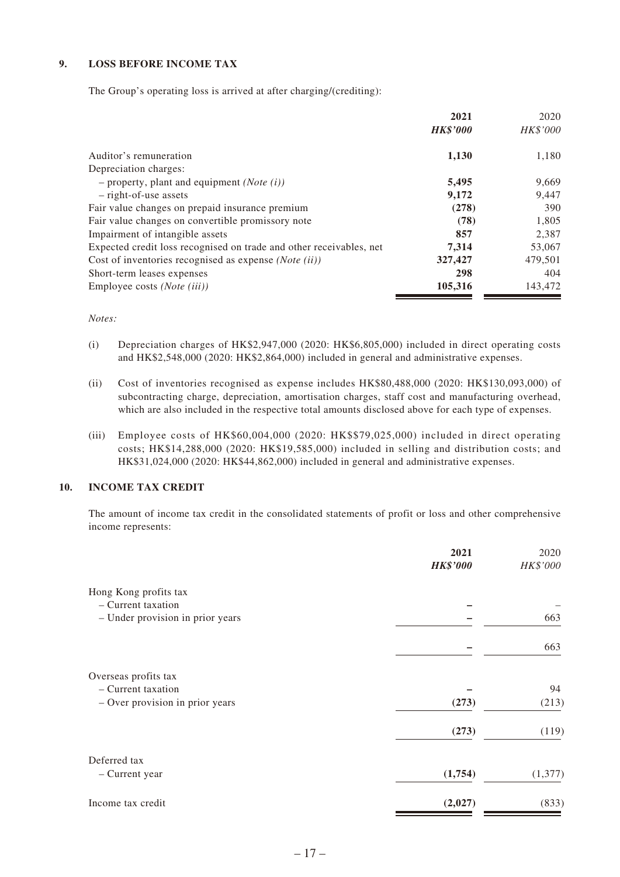#### **9. LOSS BEFORE INCOME TAX**

The Group's operating loss is arrived at after charging/(crediting):

|                                                                     | 2021            | 2020     |
|---------------------------------------------------------------------|-----------------|----------|
|                                                                     | <b>HK\$'000</b> | HK\$'000 |
| Auditor's remuneration                                              | 1,130           | 1,180    |
| Depreciation charges:                                               |                 |          |
| - property, plant and equipment ( <i>Note</i> $(i)$ )               | 5,495           | 9,669    |
| $-$ right-of-use assets                                             | 9,172           | 9,447    |
| Fair value changes on prepaid insurance premium                     | (278)           | 390      |
| Fair value changes on convertible promissory note                   | (78)            | 1,805    |
| Impairment of intangible assets                                     | 857             | 2,387    |
| Expected credit loss recognised on trade and other receivables, net | 7,314           | 53,067   |
| Cost of inventories recognised as expense $(Note (ii))$             | 327,427         | 479,501  |
| Short-term leases expenses                                          | 298             | 404      |
| Employee costs ( <i>Note</i> ( <i>iii</i> ))                        | 105,316         | 143,472  |

*Notes:*

- (i) Depreciation charges of HK\$2,947,000 (2020: HK\$6,805,000) included in direct operating costs and HK\$2,548,000 (2020: HK\$2,864,000) included in general and administrative expenses.
- (ii) Cost of inventories recognised as expense includes HK\$80,488,000 (2020: HK\$130,093,000) of subcontracting charge, depreciation, amortisation charges, staff cost and manufacturing overhead, which are also included in the respective total amounts disclosed above for each type of expenses.
- (iii) Employee costs of HK\$60,004,000 (2020: HK\$\$79,025,000) included in direct operating costs; HK\$14,288,000 (2020: HK\$19,585,000) included in selling and distribution costs; and HK\$31,024,000 (2020: HK\$44,862,000) included in general and administrative expenses.

#### **10. INCOME TAX CREDIT**

The amount of income tax credit in the consolidated statements of profit or loss and other comprehensive income represents:

|                                  | 2021            | 2020     |
|----------------------------------|-----------------|----------|
|                                  | <b>HK\$'000</b> | HK\$'000 |
| Hong Kong profits tax            |                 |          |
| - Current taxation               |                 |          |
| - Under provision in prior years |                 | 663      |
|                                  |                 | 663      |
| Overseas profits tax             |                 |          |
| - Current taxation               |                 | 94       |
| - Over provision in prior years  | (273)           | (213)    |
|                                  | (273)           | (119)    |
| Deferred tax                     |                 |          |
| - Current year                   | (1,754)         | (1, 377) |
| Income tax credit                | (2,027)         | (833)    |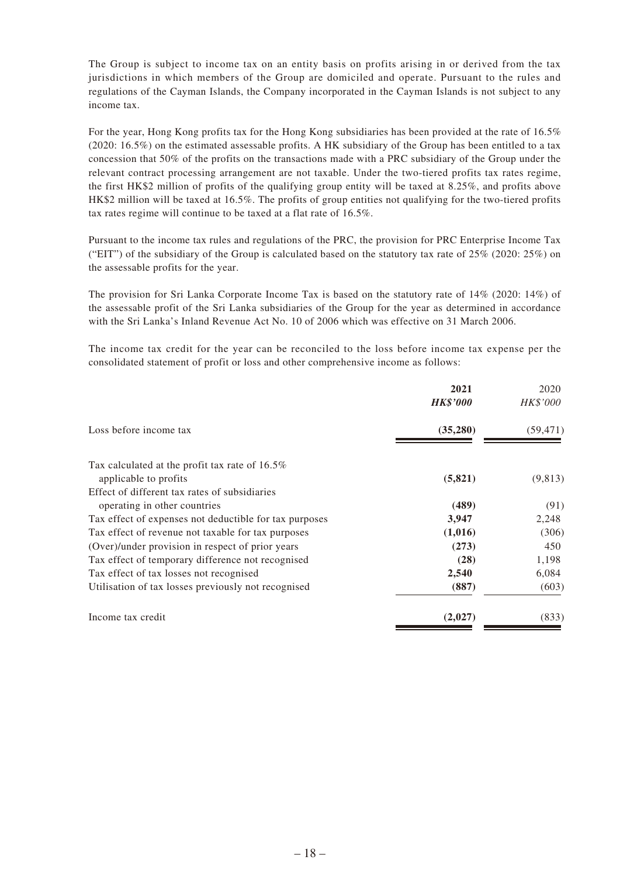The Group is subject to income tax on an entity basis on profits arising in or derived from the tax jurisdictions in which members of the Group are domiciled and operate. Pursuant to the rules and regulations of the Cayman Islands, the Company incorporated in the Cayman Islands is not subject to any income tax.

For the year, Hong Kong profits tax for the Hong Kong subsidiaries has been provided at the rate of 16.5% (2020: 16.5%) on the estimated assessable profits. A HK subsidiary of the Group has been entitled to a tax concession that 50% of the profits on the transactions made with a PRC subsidiary of the Group under the relevant contract processing arrangement are not taxable. Under the two-tiered profits tax rates regime, the first HK\$2 million of profits of the qualifying group entity will be taxed at 8.25%, and profits above HK\$2 million will be taxed at 16.5%. The profits of group entities not qualifying for the two-tiered profits tax rates regime will continue to be taxed at a flat rate of 16.5%.

Pursuant to the income tax rules and regulations of the PRC, the provision for PRC Enterprise Income Tax ("EIT") of the subsidiary of the Group is calculated based on the statutory tax rate of  $25\%$  (2020:  $25\%$ ) on the assessable profits for the year.

The provision for Sri Lanka Corporate Income Tax is based on the statutory rate of 14% (2020: 14%) of the assessable profit of the Sri Lanka subsidiaries of the Group for the year as determined in accordance with the Sri Lanka's Inland Revenue Act No. 10 of 2006 which was effective on 31 March 2006.

The income tax credit for the year can be reconciled to the loss before income tax expense per the consolidated statement of profit or loss and other comprehensive income as follows:

|                                                        | 2021<br><b>HK\$'000</b> | 2020<br>HK\$'000 |
|--------------------------------------------------------|-------------------------|------------------|
| Loss before income tax                                 | (35,280)                | (59, 471)        |
| Tax calculated at the profit tax rate of 16.5%         |                         |                  |
| applicable to profits                                  | (5,821)                 | (9,813)          |
| Effect of different tax rates of subsidiaries          |                         |                  |
| operating in other countries                           | (489)                   | (91)             |
| Tax effect of expenses not deductible for tax purposes | 3,947                   | 2,248            |
| Tax effect of revenue not taxable for tax purposes     | (1,016)                 | (306)            |
| (Over)/under provision in respect of prior years       | (273)                   | 450              |
| Tax effect of temporary difference not recognised      | (28)                    | 1,198            |
| Tax effect of tax losses not recognised                | 2,540                   | 6,084            |
| Utilisation of tax losses previously not recognised    | (887)                   | (603)            |
| Income tax credit                                      | (2,027)                 | (833)            |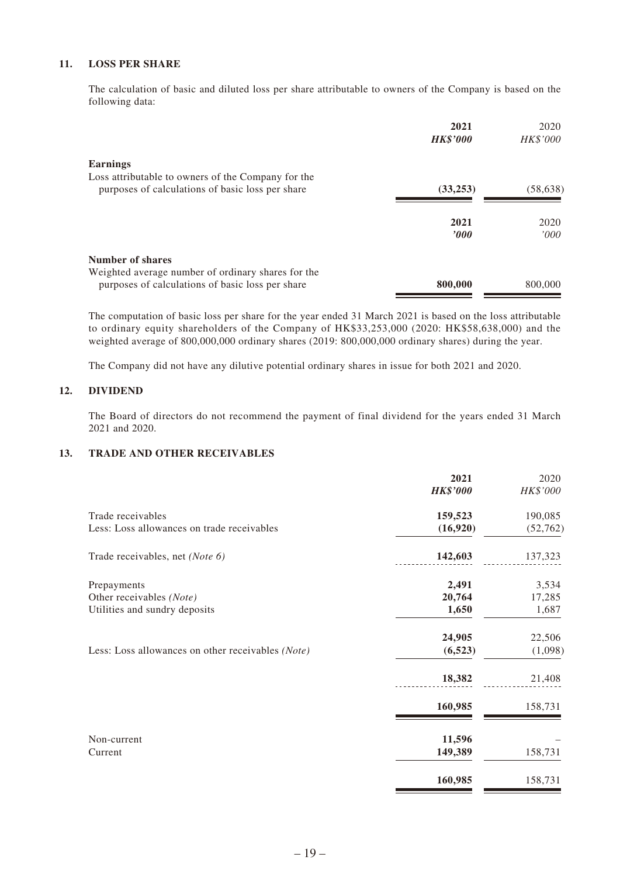#### **11. LOSS PER SHARE**

The calculation of basic and diluted loss per share attributable to owners of the Company is based on the following data:

| 2021<br><b>HK\$'000</b> | 2020<br>HK\$'000 |
|-------------------------|------------------|
|                         |                  |
| (33,253)                | (58, 638)        |
| 2021<br>2000            | 2020<br>'000'    |
|                         | 800,000          |
|                         | 800,000          |

The computation of basic loss per share for the year ended 31 March 2021 is based on the loss attributable to ordinary equity shareholders of the Company of HK\$33,253,000 (2020: HK\$58,638,000) and the weighted average of 800,000,000 ordinary shares (2019: 800,000,000 ordinary shares) during the year.

The Company did not have any dilutive potential ordinary shares in issue for both 2021 and 2020.

#### **12. DIVIDEND**

The Board of directors do not recommend the payment of final dividend for the years ended 31 March 2021 and 2020.

#### **13. TRADE AND OTHER RECEIVABLES**

|                                                   | 2021<br><b>HK\$'000</b> | 2020<br>HK\$'000 |
|---------------------------------------------------|-------------------------|------------------|
| Trade receivables                                 | 159,523                 | 190,085          |
| Less: Loss allowances on trade receivables        | (16,920)                | (52, 762)        |
| Trade receivables, net (Note 6)                   | 142,603                 | 137,323          |
| Prepayments                                       | 2,491                   | 3,534            |
| Other receivables (Note)                          | 20,764                  | 17,285           |
| Utilities and sundry deposits                     | 1,650                   | 1,687            |
|                                                   | 24,905                  | 22,506           |
| Less: Loss allowances on other receivables (Note) | (6, 523)                | (1,098)          |
|                                                   | 18,382                  | 21,408           |
|                                                   | 160,985                 | 158,731          |
| Non-current                                       | 11,596                  |                  |
| Current                                           | 149,389                 | 158,731          |
|                                                   | 160,985                 | 158,731          |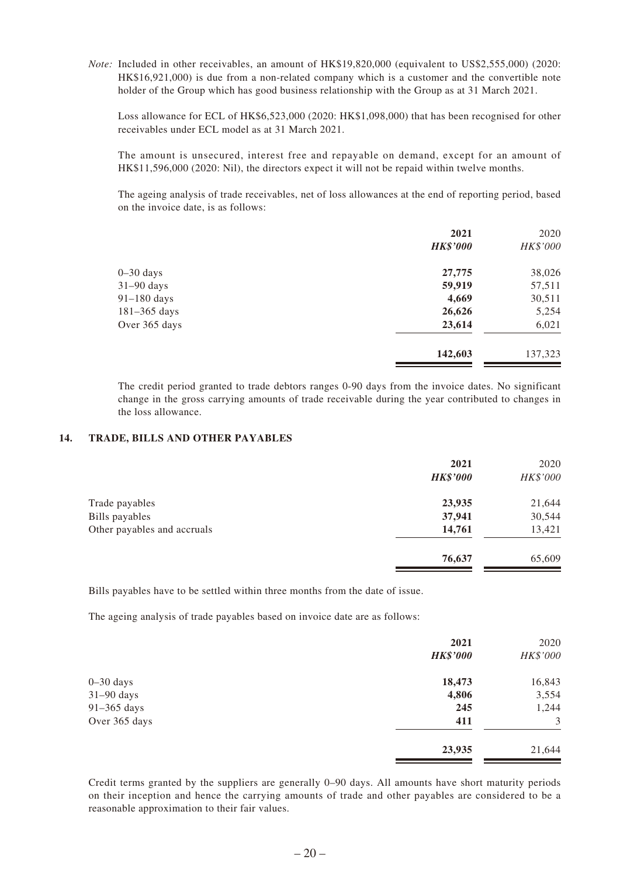*Note:* Included in other receivables, an amount of HK\$19,820,000 (equivalent to US\$2,555,000) (2020: HK\$16,921,000) is due from a non-related company which is a customer and the convertible note holder of the Group which has good business relationship with the Group as at 31 March 2021.

Loss allowance for ECL of HK\$6,523,000 (2020: HK\$1,098,000) that has been recognised for other receivables under ECL model as at 31 March 2021.

The amount is unsecured, interest free and repayable on demand, except for an amount of HK\$11,596,000 (2020: Nil), the directors expect it will not be repaid within twelve months.

The ageing analysis of trade receivables, net of loss allowances at the end of reporting period, based on the invoice date, is as follows:

|                  | 2021            | 2020     |
|------------------|-----------------|----------|
|                  | <b>HK\$'000</b> | HK\$'000 |
| $0 - 30$ days    | 27,775          | 38,026   |
| $31-90$ days     | 59,919          | 57,511   |
| 91-180 days      | 4,669           | 30,511   |
| $181 - 365$ days | 26,626          | 5,254    |
| Over 365 days    | 23,614          | 6,021    |
|                  | 142,603         | 137,323  |

The credit period granted to trade debtors ranges 0-90 days from the invoice dates. No significant change in the gross carrying amounts of trade receivable during the year contributed to changes in the loss allowance.

#### **14. TRADE, BILLS AND OTHER PAYABLES**

|                             | 2021<br><b>HK\$'000</b> | 2020<br>HK\$'000 |
|-----------------------------|-------------------------|------------------|
| Trade payables              | 23,935                  | 21,644           |
| Bills payables              | 37,941                  | 30,544           |
| Other payables and accruals | 14,761                  | 13,421           |
|                             | 76,637                  | 65,609           |

Bills payables have to be settled within three months from the date of issue.

The ageing analysis of trade payables based on invoice date are as follows:

|               | 2021            | 2020     |
|---------------|-----------------|----------|
|               | <b>HK\$'000</b> | HK\$'000 |
| $0-30$ days   | 18,473          | 16,843   |
| $31-90$ days  | 4,806           | 3,554    |
| $91-365$ days | 245             | 1,244    |
| Over 365 days | 411             | 3        |
|               | 23,935          | 21,644   |

Credit terms granted by the suppliers are generally 0–90 days. All amounts have short maturity periods on their inception and hence the carrying amounts of trade and other payables are considered to be a reasonable approximation to their fair values.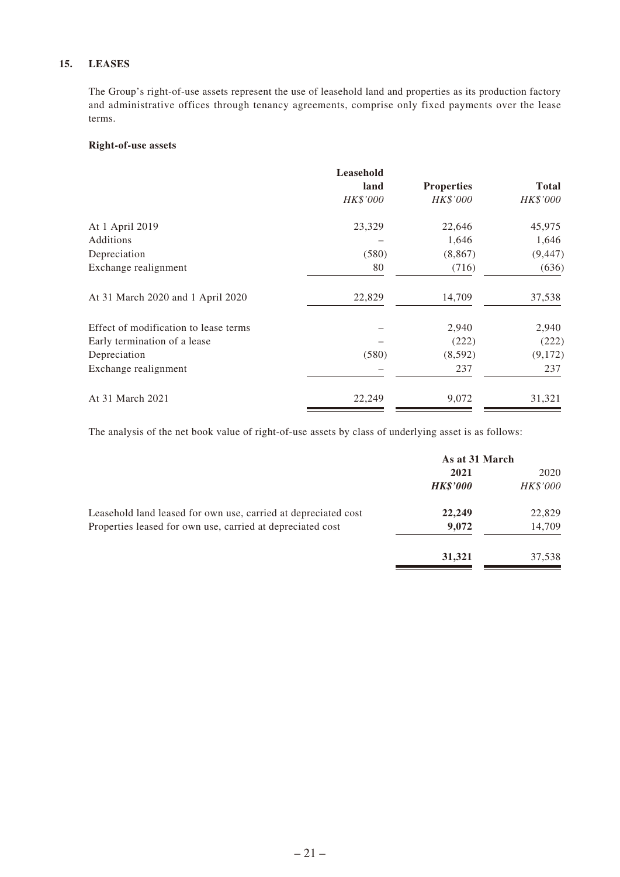#### **15. LEASES**

The Group's right-of-use assets represent the use of leasehold land and properties as its production factory and administrative offices through tenancy agreements, comprise only fixed payments over the lease terms.

#### **Right-of-use assets**

|                                       | Leasehold |                   |              |
|---------------------------------------|-----------|-------------------|--------------|
|                                       | land      | <b>Properties</b> | <b>Total</b> |
|                                       | HK\$'000  | HK\$'000          | HK\$'000     |
| At 1 April 2019                       | 23,329    | 22,646            | 45,975       |
| Additions                             |           | 1,646             | 1,646        |
| Depreciation                          | (580)     | (8, 867)          | (9, 447)     |
| Exchange realignment                  | 80        | (716)             | (636)        |
| At 31 March 2020 and 1 April 2020     | 22,829    | 14,709            | 37,538       |
| Effect of modification to lease terms |           | 2,940             | 2,940        |
| Early termination of a lease          |           | (222)             | (222)        |
| Depreciation                          | (580)     | (8,592)           | (9,172)      |
| Exchange realignment                  |           | 237               | 237          |
| At 31 March 2021                      | 22,249    | 9,072             | 31,321       |

The analysis of the net book value of right-of-use assets by class of underlying asset is as follows:

|                                                                | As at 31 March  |          |
|----------------------------------------------------------------|-----------------|----------|
|                                                                | 2021            | 2020     |
|                                                                | <b>HK\$'000</b> | HK\$'000 |
| Leasehold land leased for own use, carried at depreciated cost | 22,249          | 22,829   |
| Properties leased for own use, carried at depreciated cost     | 9,072           | 14,709   |
|                                                                | 31,321          | 37,538   |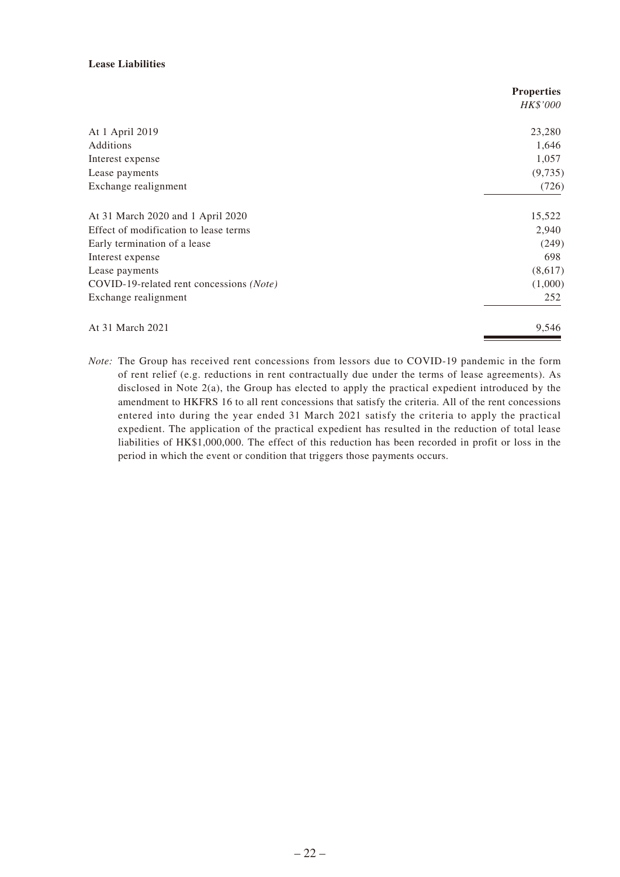#### **Lease Liabilities**

|                                          | <b>Properties</b> |
|------------------------------------------|-------------------|
|                                          | <i>HK\$'000</i>   |
| At 1 April 2019                          | 23,280            |
| Additions                                | 1,646             |
| Interest expense                         | 1,057             |
| Lease payments                           | (9,735)           |
| Exchange realignment                     | (726)             |
| At 31 March 2020 and 1 April 2020        | 15,522            |
| Effect of modification to lease terms    | 2,940             |
| Early termination of a lease             | (249)             |
| Interest expense                         | 698               |
| Lease payments                           | (8,617)           |
| COVID-19-related rent concessions (Note) | (1,000)           |
| Exchange realignment                     | 252               |
| At 31 March 2021                         | 9,546             |

*Note:* The Group has received rent concessions from lessors due to COVID-19 pandemic in the form of rent relief (e.g. reductions in rent contractually due under the terms of lease agreements). As disclosed in Note 2(a), the Group has elected to apply the practical expedient introduced by the amendment to HKFRS 16 to all rent concessions that satisfy the criteria. All of the rent concessions entered into during the year ended 31 March 2021 satisfy the criteria to apply the practical expedient. The application of the practical expedient has resulted in the reduction of total lease liabilities of HK\$1,000,000. The effect of this reduction has been recorded in profit or loss in the period in which the event or condition that triggers those payments occurs.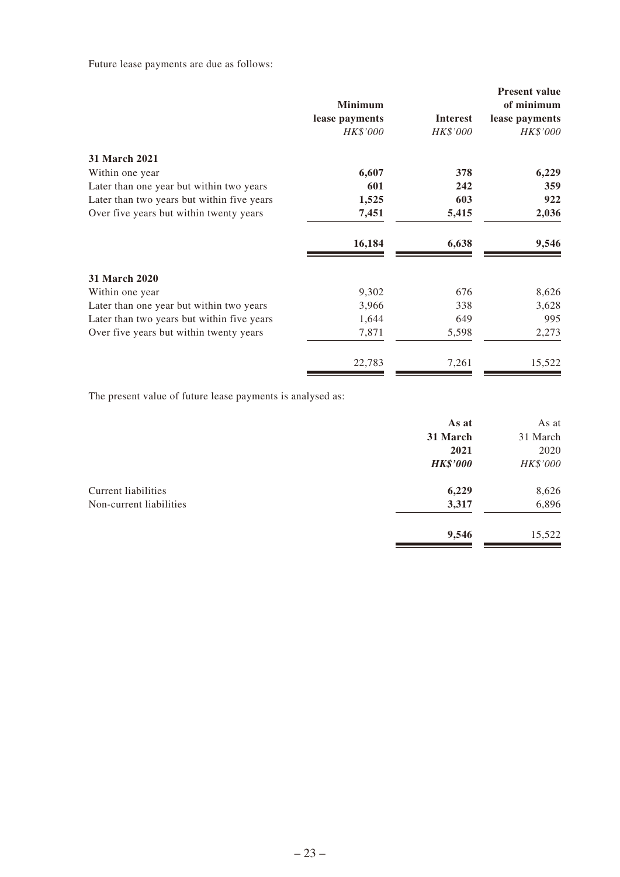Future lease payments are due as follows:

|                                            | <b>Minimum</b> |                 | <b>Present value</b><br>of minimum |
|--------------------------------------------|----------------|-----------------|------------------------------------|
|                                            | lease payments | <b>Interest</b> | lease payments                     |
|                                            | HK\$'000       | HK\$'000        | HK\$'000                           |
| <b>31 March 2021</b>                       |                |                 |                                    |
| Within one year                            | 6,607          | 378             | 6,229                              |
| Later than one year but within two years   | 601            | 242             | 359                                |
| Later than two years but within five years | 1,525          | 603             | 922                                |
| Over five years but within twenty years    | 7,451          | 5,415           | 2,036                              |
|                                            | 16,184         | 6,638           | 9,546                              |
| <b>31 March 2020</b>                       |                |                 |                                    |
| Within one year                            | 9,302          | 676             | 8,626                              |
| Later than one year but within two years   | 3,966          | 338             | 3,628                              |
| Later than two years but within five years | 1,644          | 649             | 995                                |
| Over five years but within twenty years    | 7,871          | 5,598           | 2,273                              |
|                                            | 22,783         | 7,261           | 15,522                             |

The present value of future lease payments is analysed as:

| As at           | As at    |
|-----------------|----------|
| 31 March        | 31 March |
| 2021            | 2020     |
| <b>HK\$'000</b> | HK\$'000 |
| 6,229           | 8,626    |
| 3,317           | 6,896    |
| 9,546           | 15,522   |
|                 |          |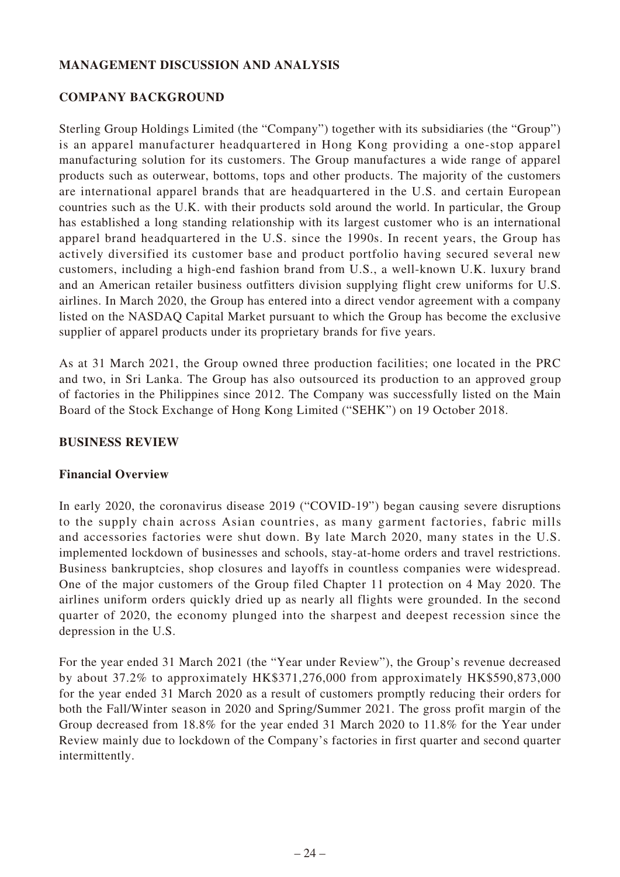# **MANAGEMENT DISCUSSION AND ANALYSIS**

# **COMPANY BACKGROUND**

Sterling Group Holdings Limited (the "Company") together with its subsidiaries (the "Group") is an apparel manufacturer headquartered in Hong Kong providing a one-stop apparel manufacturing solution for its customers. The Group manufactures a wide range of apparel products such as outerwear, bottoms, tops and other products. The majority of the customers are international apparel brands that are headquartered in the U.S. and certain European countries such as the U.K. with their products sold around the world. In particular, the Group has established a long standing relationship with its largest customer who is an international apparel brand headquartered in the U.S. since the 1990s. In recent years, the Group has actively diversified its customer base and product portfolio having secured several new customers, including a high-end fashion brand from U.S., a well-known U.K. luxury brand and an American retailer business outfitters division supplying flight crew uniforms for U.S. airlines. In March 2020, the Group has entered into a direct vendor agreement with a company listed on the NASDAQ Capital Market pursuant to which the Group has become the exclusive supplier of apparel products under its proprietary brands for five years.

As at 31 March 2021, the Group owned three production facilities; one located in the PRC and two, in Sri Lanka. The Group has also outsourced its production to an approved group of factories in the Philippines since 2012. The Company was successfully listed on the Main Board of the Stock Exchange of Hong Kong Limited ("SEHK") on 19 October 2018.

### **BUSINESS REVIEW**

# **Financial Overview**

In early 2020, the coronavirus disease 2019 ("COVID-19") began causing severe disruptions to the supply chain across Asian countries, as many garment factories, fabric mills and accessories factories were shut down. By late March 2020, many states in the U.S. implemented lockdown of businesses and schools, stay-at-home orders and travel restrictions. Business bankruptcies, shop closures and layoffs in countless companies were widespread. One of the major customers of the Group filed Chapter 11 protection on 4 May 2020. The airlines uniform orders quickly dried up as nearly all flights were grounded. In the second quarter of 2020, the economy plunged into the sharpest and deepest recession since the depression in the U.S.

For the year ended 31 March 2021 (the "Year under Review"), the Group's revenue decreased by about 37.2% to approximately HK\$371,276,000 from approximately HK\$590,873,000 for the year ended 31 March 2020 as a result of customers promptly reducing their orders for both the Fall/Winter season in 2020 and Spring/Summer 2021. The gross profit margin of the Group decreased from 18.8% for the year ended 31 March 2020 to 11.8% for the Year under Review mainly due to lockdown of the Company's factories in first quarter and second quarter intermittently.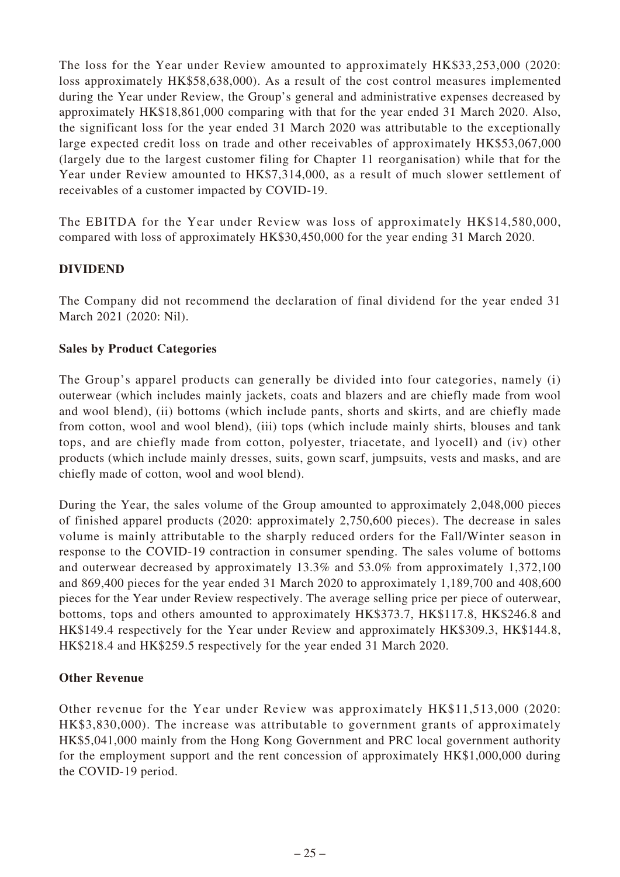The loss for the Year under Review amounted to approximately HK\$33,253,000 (2020: loss approximately HK\$58,638,000). As a result of the cost control measures implemented during the Year under Review, the Group's general and administrative expenses decreased by approximately HK\$18,861,000 comparing with that for the year ended 31 March 2020. Also, the significant loss for the year ended 31 March 2020 was attributable to the exceptionally large expected credit loss on trade and other receivables of approximately HK\$53,067,000 (largely due to the largest customer filing for Chapter 11 reorganisation) while that for the Year under Review amounted to HK\$7,314,000, as a result of much slower settlement of receivables of a customer impacted by COVID-19.

The EBITDA for the Year under Review was loss of approximately HK\$14,580,000, compared with loss of approximately HK\$30,450,000 for the year ending 31 March 2020.

# **DIVIDEND**

The Company did not recommend the declaration of final dividend for the year ended 31 March 2021 (2020: Nil).

# **Sales by Product Categories**

The Group's apparel products can generally be divided into four categories, namely (i) outerwear (which includes mainly jackets, coats and blazers and are chiefly made from wool and wool blend), (ii) bottoms (which include pants, shorts and skirts, and are chiefly made from cotton, wool and wool blend), (iii) tops (which include mainly shirts, blouses and tank tops, and are chiefly made from cotton, polyester, triacetate, and lyocell) and (iv) other products (which include mainly dresses, suits, gown scarf, jumpsuits, vests and masks, and are chiefly made of cotton, wool and wool blend).

During the Year, the sales volume of the Group amounted to approximately 2,048,000 pieces of finished apparel products (2020: approximately 2,750,600 pieces). The decrease in sales volume is mainly attributable to the sharply reduced orders for the Fall/Winter season in response to the COVID-19 contraction in consumer spending. The sales volume of bottoms and outerwear decreased by approximately 13.3% and 53.0% from approximately 1,372,100 and 869,400 pieces for the year ended 31 March 2020 to approximately 1,189,700 and 408,600 pieces for the Year under Review respectively. The average selling price per piece of outerwear, bottoms, tops and others amounted to approximately HK\$373.7, HK\$117.8, HK\$246.8 and HK\$149.4 respectively for the Year under Review and approximately HK\$309.3, HK\$144.8, HK\$218.4 and HK\$259.5 respectively for the year ended 31 March 2020.

# **Other Revenue**

Other revenue for the Year under Review was approximately HK\$11,513,000 (2020: HK\$3,830,000). The increase was attributable to government grants of approximately HK\$5,041,000 mainly from the Hong Kong Government and PRC local government authority for the employment support and the rent concession of approximately HK\$1,000,000 during the COVID-19 period.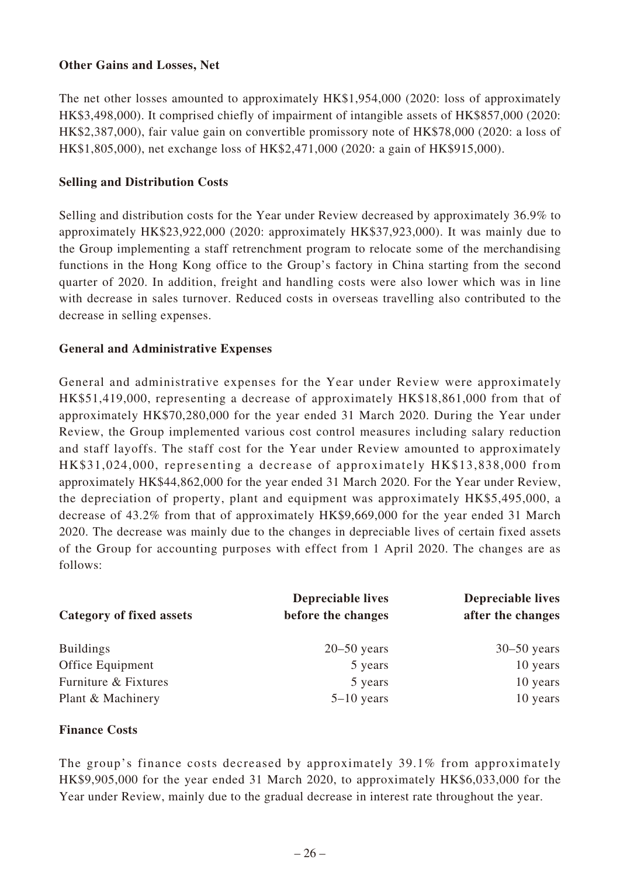# **Other Gains and Losses, Net**

The net other losses amounted to approximately HK\$1,954,000 (2020: loss of approximately HK\$3,498,000). It comprised chiefly of impairment of intangible assets of HK\$857,000 (2020: HK\$2,387,000), fair value gain on convertible promissory note of HK\$78,000 (2020: a loss of HK\$1,805,000), net exchange loss of HK\$2,471,000 (2020: a gain of HK\$915,000).

# **Selling and Distribution Costs**

Selling and distribution costs for the Year under Review decreased by approximately 36.9% to approximately HK\$23,922,000 (2020: approximately HK\$37,923,000). It was mainly due to the Group implementing a staff retrenchment program to relocate some of the merchandising functions in the Hong Kong office to the Group's factory in China starting from the second quarter of 2020. In addition, freight and handling costs were also lower which was in line with decrease in sales turnover. Reduced costs in overseas travelling also contributed to the decrease in selling expenses.

# **General and Administrative Expenses**

General and administrative expenses for the Year under Review were approximately HK\$51,419,000, representing a decrease of approximately HK\$18,861,000 from that of approximately HK\$70,280,000 for the year ended 31 March 2020. During the Year under Review, the Group implemented various cost control measures including salary reduction and staff layoffs. The staff cost for the Year under Review amounted to approximately HK\$31,024,000, representing a decrease of approximately HK\$13,838,000 from approximately HK\$44,862,000 for the year ended 31 March 2020. For the Year under Review, the depreciation of property, plant and equipment was approximately HK\$5,495,000, a decrease of 43.2% from that of approximately HK\$9,669,000 for the year ended 31 March 2020. The decrease was mainly due to the changes in depreciable lives of certain fixed assets of the Group for accounting purposes with effect from 1 April 2020. The changes are as follows:

| <b>Category of fixed assets</b> | <b>Depreciable lives</b><br>before the changes | <b>Depreciable lives</b><br>after the changes |
|---------------------------------|------------------------------------------------|-----------------------------------------------|
| <b>Buildings</b>                | $20 - 50$ years                                | $30 - 50$ years                               |
| Office Equipment                | 5 years                                        | 10 years                                      |
| Furniture & Fixtures            | 5 years                                        | 10 years                                      |
| Plant & Machinery               | $5-10$ years                                   | 10 years                                      |

# **Finance Costs**

The group's finance costs decreased by approximately 39.1% from approximately HK\$9,905,000 for the year ended 31 March 2020, to approximately HK\$6,033,000 for the Year under Review, mainly due to the gradual decrease in interest rate throughout the year.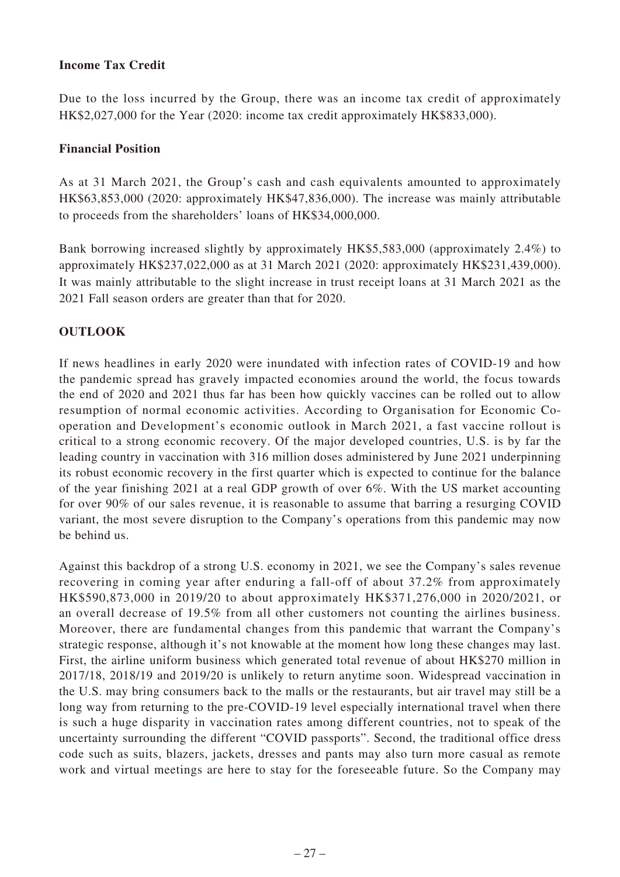# **Income Tax Credit**

Due to the loss incurred by the Group, there was an income tax credit of approximately HK\$2,027,000 for the Year (2020: income tax credit approximately HK\$833,000).

# **Financial Position**

As at 31 March 2021, the Group's cash and cash equivalents amounted to approximately HK\$63,853,000 (2020: approximately HK\$47,836,000). The increase was mainly attributable to proceeds from the shareholders' loans of HK\$34,000,000.

Bank borrowing increased slightly by approximately HK\$5,583,000 (approximately 2.4%) to approximately HK\$237,022,000 as at 31 March 2021 (2020: approximately HK\$231,439,000). It was mainly attributable to the slight increase in trust receipt loans at 31 March 2021 as the 2021 Fall season orders are greater than that for 2020.

# **OUTLOOK**

If news headlines in early 2020 were inundated with infection rates of COVID-19 and how the pandemic spread has gravely impacted economies around the world, the focus towards the end of 2020 and 2021 thus far has been how quickly vaccines can be rolled out to allow resumption of normal economic activities. According to Organisation for Economic Cooperation and Development's economic outlook in March 2021, a fast vaccine rollout is critical to a strong economic recovery. Of the major developed countries, U.S. is by far the leading country in vaccination with 316 million doses administered by June 2021 underpinning its robust economic recovery in the first quarter which is expected to continue for the balance of the year finishing 2021 at a real GDP growth of over 6%. With the US market accounting for over 90% of our sales revenue, it is reasonable to assume that barring a resurging COVID variant, the most severe disruption to the Company's operations from this pandemic may now be behind us.

Against this backdrop of a strong U.S. economy in 2021, we see the Company's sales revenue recovering in coming year after enduring a fall-off of about 37.2% from approximately HK\$590,873,000 in 2019/20 to about approximately HK\$371,276,000 in 2020/2021, or an overall decrease of 19.5% from all other customers not counting the airlines business. Moreover, there are fundamental changes from this pandemic that warrant the Company's strategic response, although it's not knowable at the moment how long these changes may last. First, the airline uniform business which generated total revenue of about HK\$270 million in 2017/18, 2018/19 and 2019/20 is unlikely to return anytime soon. Widespread vaccination in the U.S. may bring consumers back to the malls or the restaurants, but air travel may still be a long way from returning to the pre-COVID-19 level especially international travel when there is such a huge disparity in vaccination rates among different countries, not to speak of the uncertainty surrounding the different "COVID passports". Second, the traditional office dress code such as suits, blazers, jackets, dresses and pants may also turn more casual as remote work and virtual meetings are here to stay for the foreseeable future. So the Company may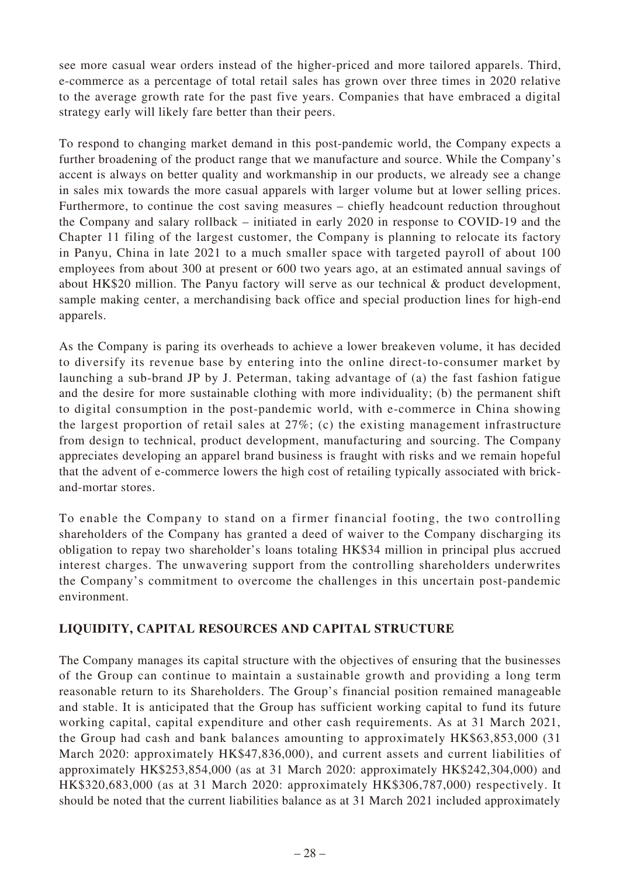see more casual wear orders instead of the higher-priced and more tailored apparels. Third, e-commerce as a percentage of total retail sales has grown over three times in 2020 relative to the average growth rate for the past five years. Companies that have embraced a digital strategy early will likely fare better than their peers.

To respond to changing market demand in this post-pandemic world, the Company expects a further broadening of the product range that we manufacture and source. While the Company's accent is always on better quality and workmanship in our products, we already see a change in sales mix towards the more casual apparels with larger volume but at lower selling prices. Furthermore, to continue the cost saving measures – chiefly headcount reduction throughout the Company and salary rollback – initiated in early 2020 in response to COVID-19 and the Chapter 11 filing of the largest customer, the Company is planning to relocate its factory in Panyu, China in late 2021 to a much smaller space with targeted payroll of about 100 employees from about 300 at present or 600 two years ago, at an estimated annual savings of about HK\$20 million. The Panyu factory will serve as our technical & product development, sample making center, a merchandising back office and special production lines for high-end apparels.

As the Company is paring its overheads to achieve a lower breakeven volume, it has decided to diversify its revenue base by entering into the online direct-to-consumer market by launching a sub-brand JP by J. Peterman, taking advantage of (a) the fast fashion fatigue and the desire for more sustainable clothing with more individuality; (b) the permanent shift to digital consumption in the post-pandemic world, with e-commerce in China showing the largest proportion of retail sales at 27%; (c) the existing management infrastructure from design to technical, product development, manufacturing and sourcing. The Company appreciates developing an apparel brand business is fraught with risks and we remain hopeful that the advent of e-commerce lowers the high cost of retailing typically associated with brickand-mortar stores.

To enable the Company to stand on a firmer financial footing, the two controlling shareholders of the Company has granted a deed of waiver to the Company discharging its obligation to repay two shareholder's loans totaling HK\$34 million in principal plus accrued interest charges. The unwavering support from the controlling shareholders underwrites the Company's commitment to overcome the challenges in this uncertain post-pandemic environment.

# **LIQUIDITY, CAPITAL RESOURCES AND CAPITAL STRUCTURE**

The Company manages its capital structure with the objectives of ensuring that the businesses of the Group can continue to maintain a sustainable growth and providing a long term reasonable return to its Shareholders. The Group's financial position remained manageable and stable. It is anticipated that the Group has sufficient working capital to fund its future working capital, capital expenditure and other cash requirements. As at 31 March 2021, the Group had cash and bank balances amounting to approximately HK\$63,853,000 (31 March 2020: approximately HK\$47,836,000), and current assets and current liabilities of approximately HK\$253,854,000 (as at 31 March 2020: approximately HK\$242,304,000) and HK\$320,683,000 (as at 31 March 2020: approximately HK\$306,787,000) respectively. It should be noted that the current liabilities balance as at 31 March 2021 included approximately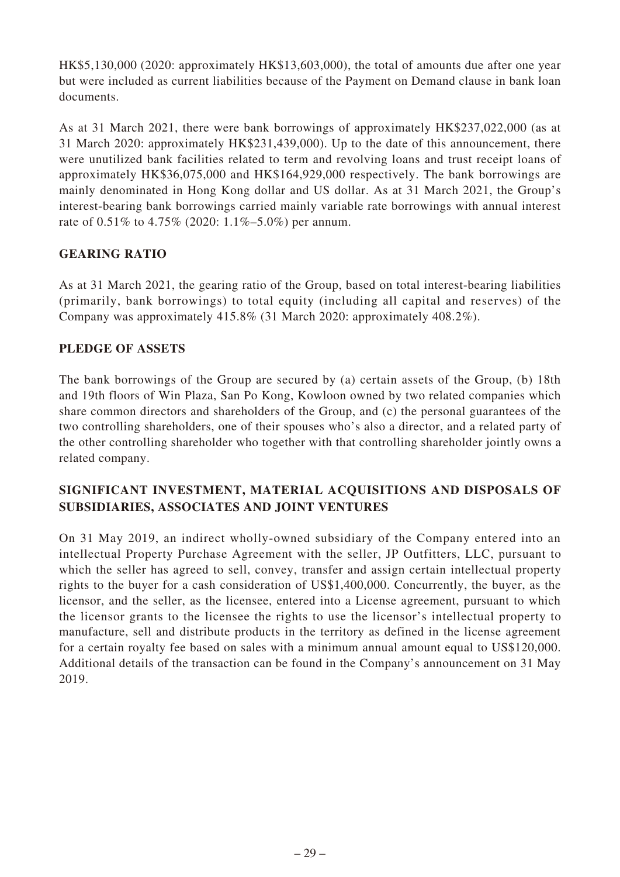HK\$5,130,000 (2020: approximately HK\$13,603,000), the total of amounts due after one year but were included as current liabilities because of the Payment on Demand clause in bank loan documents.

As at 31 March 2021, there were bank borrowings of approximately HK\$237,022,000 (as at 31 March 2020: approximately HK\$231,439,000). Up to the date of this announcement, there were unutilized bank facilities related to term and revolving loans and trust receipt loans of approximately HK\$36,075,000 and HK\$164,929,000 respectively. The bank borrowings are mainly denominated in Hong Kong dollar and US dollar. As at 31 March 2021, the Group's interest-bearing bank borrowings carried mainly variable rate borrowings with annual interest rate of 0.51% to 4.75% (2020: 1.1%–5.0%) per annum.

# **GEARING RATIO**

As at 31 March 2021, the gearing ratio of the Group, based on total interest-bearing liabilities (primarily, bank borrowings) to total equity (including all capital and reserves) of the Company was approximately 415.8% (31 March 2020: approximately 408.2%).

# **PLEDGE OF ASSETS**

The bank borrowings of the Group are secured by (a) certain assets of the Group, (b) 18th and 19th floors of Win Plaza, San Po Kong, Kowloon owned by two related companies which share common directors and shareholders of the Group, and (c) the personal guarantees of the two controlling shareholders, one of their spouses who's also a director, and a related party of the other controlling shareholder who together with that controlling shareholder jointly owns a related company.

# **SIGNIFICANT INVESTMENT, MATERIAL ACQUISITIONS AND DISPOSALS OF SUBSIDIARIES, ASSOCIATES AND JOINT VENTURES**

On 31 May 2019, an indirect wholly-owned subsidiary of the Company entered into an intellectual Property Purchase Agreement with the seller, JP Outfitters, LLC, pursuant to which the seller has agreed to sell, convey, transfer and assign certain intellectual property rights to the buyer for a cash consideration of US\$1,400,000. Concurrently, the buyer, as the licensor, and the seller, as the licensee, entered into a License agreement, pursuant to which the licensor grants to the licensee the rights to use the licensor's intellectual property to manufacture, sell and distribute products in the territory as defined in the license agreement for a certain royalty fee based on sales with a minimum annual amount equal to US\$120,000. Additional details of the transaction can be found in the Company's announcement on 31 May 2019.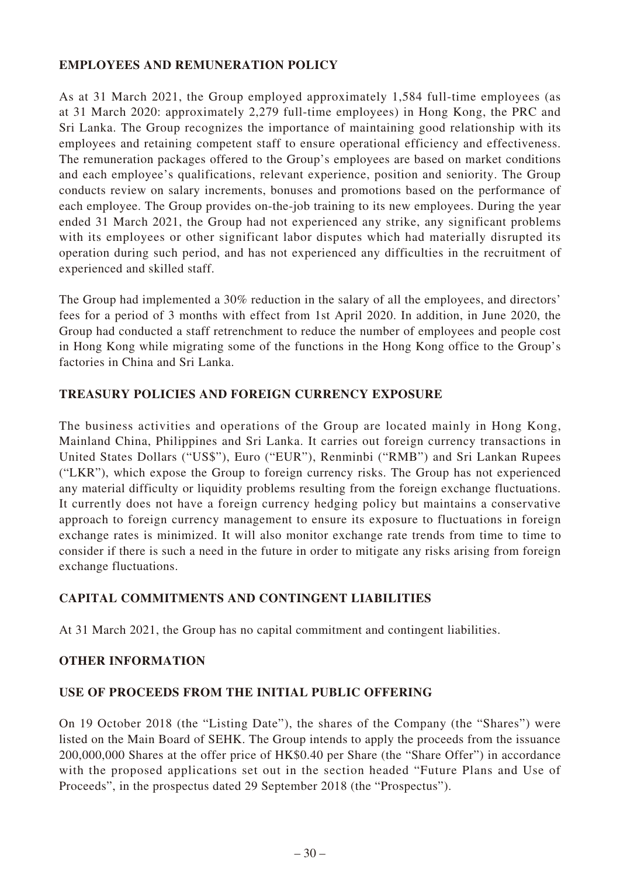# **EMPLOYEES AND REMUNERATION POLICY**

As at 31 March 2021, the Group employed approximately 1,584 full-time employees (as at 31 March 2020: approximately 2,279 full-time employees) in Hong Kong, the PRC and Sri Lanka. The Group recognizes the importance of maintaining good relationship with its employees and retaining competent staff to ensure operational efficiency and effectiveness. The remuneration packages offered to the Group's employees are based on market conditions and each employee's qualifications, relevant experience, position and seniority. The Group conducts review on salary increments, bonuses and promotions based on the performance of each employee. The Group provides on-the-job training to its new employees. During the year ended 31 March 2021, the Group had not experienced any strike, any significant problems with its employees or other significant labor disputes which had materially disrupted its operation during such period, and has not experienced any difficulties in the recruitment of experienced and skilled staff.

The Group had implemented a 30% reduction in the salary of all the employees, and directors' fees for a period of 3 months with effect from 1st April 2020. In addition, in June 2020, the Group had conducted a staff retrenchment to reduce the number of employees and people cost in Hong Kong while migrating some of the functions in the Hong Kong office to the Group's factories in China and Sri Lanka.

# **TREASURY POLICIES AND FOREIGN CURRENCY EXPOSURE**

The business activities and operations of the Group are located mainly in Hong Kong, Mainland China, Philippines and Sri Lanka. It carries out foreign currency transactions in United States Dollars ("US\$"), Euro ("EUR"), Renminbi ("RMB") and Sri Lankan Rupees ("LKR"), which expose the Group to foreign currency risks. The Group has not experienced any material difficulty or liquidity problems resulting from the foreign exchange fluctuations. It currently does not have a foreign currency hedging policy but maintains a conservative approach to foreign currency management to ensure its exposure to fluctuations in foreign exchange rates is minimized. It will also monitor exchange rate trends from time to time to consider if there is such a need in the future in order to mitigate any risks arising from foreign exchange fluctuations.

# **CAPITAL COMMITMENTS AND CONTINGENT LIABILITIES**

At 31 March 2021, the Group has no capital commitment and contingent liabilities.

# **OTHER INFORMATION**

# **USE OF PROCEEDS FROM THE INITIAL PUBLIC OFFERING**

On 19 October 2018 (the "Listing Date"), the shares of the Company (the "Shares") were listed on the Main Board of SEHK. The Group intends to apply the proceeds from the issuance 200,000,000 Shares at the offer price of HK\$0.40 per Share (the "Share Offer") in accordance with the proposed applications set out in the section headed "Future Plans and Use of Proceeds", in the prospectus dated 29 September 2018 (the "Prospectus").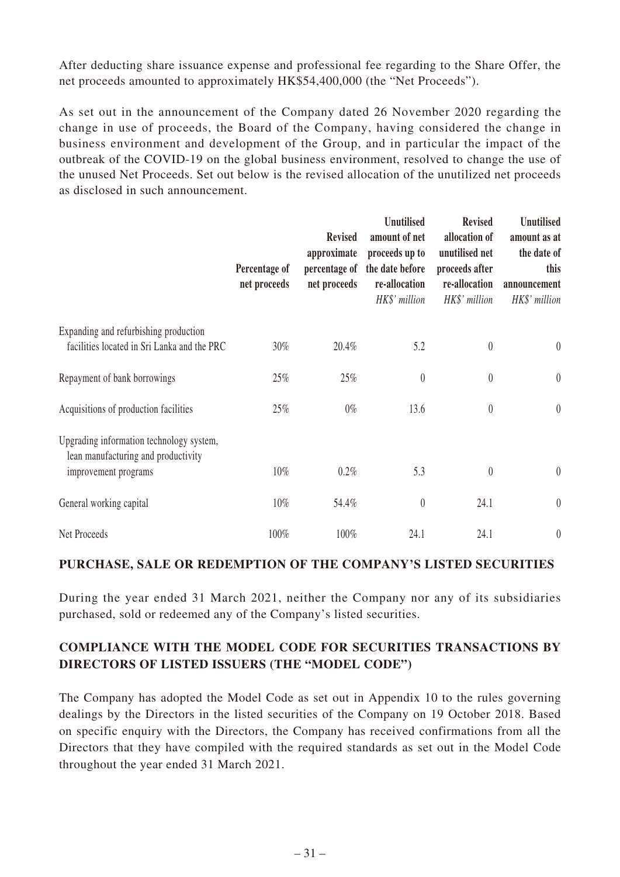After deducting share issuance expense and professional fee regarding to the Share Offer, the net proceeds amounted to approximately HK\$54,400,000 (the "Net Proceeds").

As set out in the announcement of the Company dated 26 November 2020 regarding the change in use of proceeds, the Board of the Company, having considered the change in business environment and development of the Group, and in particular the impact of the outbreak of the COVID-19 on the global business environment, resolved to change the use of the unused Net Proceeds. Set out below is the revised allocation of the unutilized net proceeds as disclosed in such announcement.

|                                                                                                         | Percentage of<br>net proceeds | <b>Revised</b><br>approximate<br>percentage of<br>net proceeds | <b>Unutilised</b><br>amount of net<br>proceeds up to<br>the date before<br>re-allocation<br>HK\$' million | <b>Revised</b><br>allocation of<br>unutilised net<br>proceeds after<br>re-allocation<br>HK\$' million | Unutilised<br>amount as at<br>the date of<br>this<br>announcement<br>HK\$' million |
|---------------------------------------------------------------------------------------------------------|-------------------------------|----------------------------------------------------------------|-----------------------------------------------------------------------------------------------------------|-------------------------------------------------------------------------------------------------------|------------------------------------------------------------------------------------|
| Expanding and refurbishing production<br>facilities located in Sri Lanka and the PRC                    | $30\%$                        | 20.4%                                                          | 5.2                                                                                                       | $\boldsymbol{0}$                                                                                      | $\boldsymbol{0}$                                                                   |
| Repayment of bank borrowings                                                                            | 25%                           | 25%                                                            | $\boldsymbol{0}$                                                                                          | $\boldsymbol{0}$                                                                                      | $\boldsymbol{0}$                                                                   |
| Acquisitions of production facilities                                                                   | 25%                           | $0\%$                                                          | 13.6                                                                                                      | $\pmb{0}$                                                                                             | $\boldsymbol{0}$                                                                   |
| Upgrading information technology system,<br>lean manufacturing and productivity<br>improvement programs | $10\%$                        | 0.2%                                                           | 5.3                                                                                                       | $\boldsymbol{0}$                                                                                      | $\boldsymbol{0}$                                                                   |
| General working capital                                                                                 | $10\%$                        | 54.4%                                                          | $\boldsymbol{0}$                                                                                          | 24.1                                                                                                  | $\boldsymbol{0}$                                                                   |
| Net Proceeds                                                                                            | 100%                          | 100%                                                           | 24.1                                                                                                      | 24.1                                                                                                  | $\boldsymbol{0}$                                                                   |

# **PURCHASE, SALE OR REDEMPTION OF THE COMPANY'S LISTED SECURITIES**

During the year ended 31 March 2021, neither the Company nor any of its subsidiaries purchased, sold or redeemed any of the Company's listed securities.

# **COMPLIANCE WITH THE MODEL CODE FOR SECURITIES TRANSACTIONS BY DIRECTORS OF LISTED ISSUERS (THE "MODEL CODE")**

The Company has adopted the Model Code as set out in Appendix 10 to the rules governing dealings by the Directors in the listed securities of the Company on 19 October 2018. Based on specific enquiry with the Directors, the Company has received confirmations from all the Directors that they have compiled with the required standards as set out in the Model Code throughout the year ended 31 March 2021.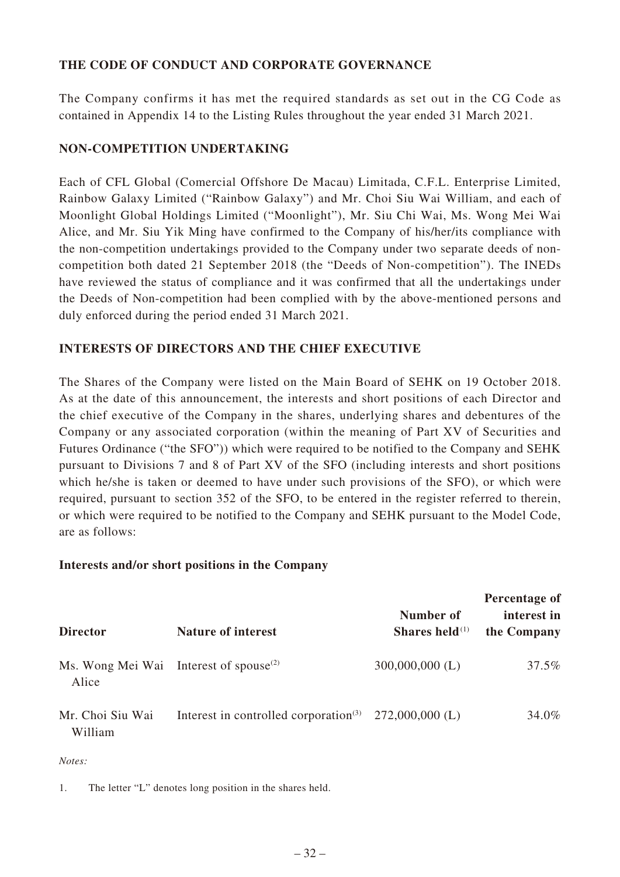# **THE CODE OF CONDUCT AND CORPORATE GOVERNANCE**

The Company confirms it has met the required standards as set out in the CG Code as contained in Appendix 14 to the Listing Rules throughout the year ended 31 March 2021.

# **NON-COMPETITION UNDERTAKING**

Each of CFL Global (Comercial Offshore De Macau) Limitada, C.F.L. Enterprise Limited, Rainbow Galaxy Limited ("Rainbow Galaxy") and Mr. Choi Siu Wai William, and each of Moonlight Global Holdings Limited ("Moonlight"), Mr. Siu Chi Wai, Ms. Wong Mei Wai Alice, and Mr. Siu Yik Ming have confirmed to the Company of his/her/its compliance with the non-competition undertakings provided to the Company under two separate deeds of noncompetition both dated 21 September 2018 (the "Deeds of Non-competition"). The INEDs have reviewed the status of compliance and it was confirmed that all the undertakings under the Deeds of Non-competition had been complied with by the above-mentioned persons and duly enforced during the period ended 31 March 2021.

# **INTERESTS OF DIRECTORS AND THE CHIEF EXECUTIVE**

The Shares of the Company were listed on the Main Board of SEHK on 19 October 2018. As at the date of this announcement, the interests and short positions of each Director and the chief executive of the Company in the shares, underlying shares and debentures of the Company or any associated corporation (within the meaning of Part XV of Securities and Futures Ordinance ("the SFO")) which were required to be notified to the Company and SEHK pursuant to Divisions 7 and 8 of Part XV of the SFO (including interests and short positions which he/she is taken or deemed to have under such provisions of the SFO), or which were required, pursuant to section 352 of the SFO, to be entered in the register referred to therein, or which were required to be notified to the Company and SEHK pursuant to the Model Code, are as follows:

# **Interests and/or short positions in the Company**

| <b>Director</b>                                             | <b>Nature of interest</b>                                         | Number of<br>Shares held $(1)$ | Percentage of<br>interest in<br>the Company |
|-------------------------------------------------------------|-------------------------------------------------------------------|--------------------------------|---------------------------------------------|
| Ms. Wong Mei Wai Interest of spouse <sup>(2)</sup><br>Alice |                                                                   | $300,000,000$ (L)              | 37.5%                                       |
| Mr. Choi Siu Wai<br>William                                 | Interest in controlled corporation <sup>(3)</sup> 272,000,000 (L) |                                | 34.0%                                       |

*Notes:*

1. The letter "L" denotes long position in the shares held.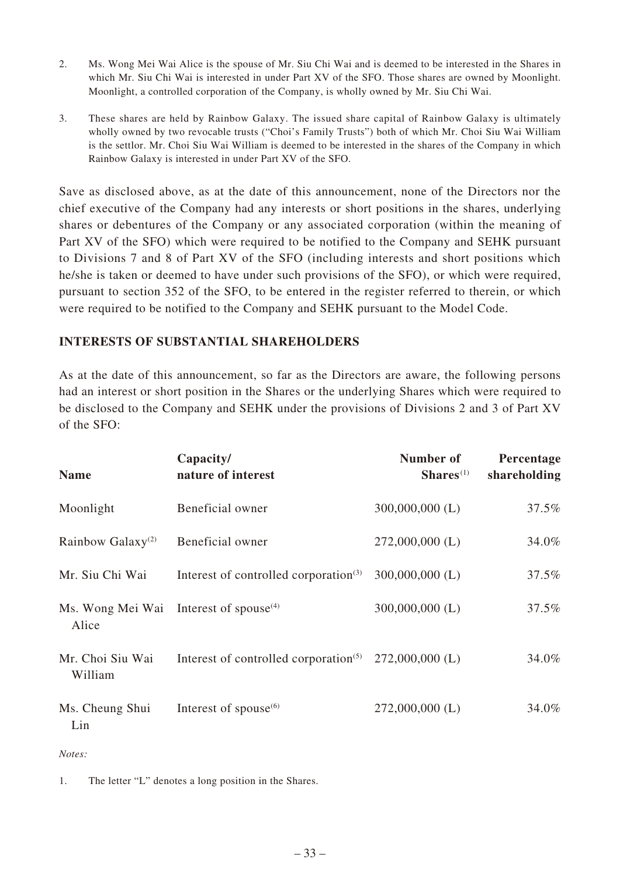- 2. Ms. Wong Mei Wai Alice is the spouse of Mr. Siu Chi Wai and is deemed to be interested in the Shares in which Mr. Siu Chi Wai is interested in under Part XV of the SFO. Those shares are owned by Moonlight. Moonlight, a controlled corporation of the Company, is wholly owned by Mr. Siu Chi Wai.
- 3. These shares are held by Rainbow Galaxy. The issued share capital of Rainbow Galaxy is ultimately wholly owned by two revocable trusts ("Choi's Family Trusts") both of which Mr. Choi Siu Wai William is the settlor. Mr. Choi Siu Wai William is deemed to be interested in the shares of the Company in which Rainbow Galaxy is interested in under Part XV of the SFO.

Save as disclosed above, as at the date of this announcement, none of the Directors nor the chief executive of the Company had any interests or short positions in the shares, underlying shares or debentures of the Company or any associated corporation (within the meaning of Part XV of the SFO) which were required to be notified to the Company and SEHK pursuant to Divisions 7 and 8 of Part XV of the SFO (including interests and short positions which he/she is taken or deemed to have under such provisions of the SFO), or which were required, pursuant to section 352 of the SFO, to be entered in the register referred to therein, or which were required to be notified to the Company and SEHK pursuant to the Model Code.

# **INTERESTS OF SUBSTANTIAL SHAREHOLDERS**

As at the date of this announcement, so far as the Directors are aware, the following persons had an interest or short position in the Shares or the underlying Shares which were required to be disclosed to the Company and SEHK under the provisions of Divisions 2 and 3 of Part XV of the SFO:

| <b>Name</b>                   | Capacity/<br>nature of interest                                | Number of<br>$Shares(1)$ | Percentage<br>shareholding |
|-------------------------------|----------------------------------------------------------------|--------------------------|----------------------------|
| Moonlight                     | Beneficial owner                                               | $300,000,000$ (L)        | 37.5%                      |
| Rainbow Galaxy <sup>(2)</sup> | Beneficial owner                                               | $272,000,000$ (L)        | 34.0%                      |
| Mr. Siu Chi Wai               | Interest of controlled corporation $(3)$                       | $300,000,000$ (L)        | 37.5%                      |
| Ms. Wong Mei Wai<br>Alice     | Interest of spouse $^{(4)}$                                    | $300,000,000$ (L)        | 37.5%                      |
| Mr. Choi Siu Wai<br>William   | Interest of controlled corporation <sup><math>(5)</math></sup> | $272,000,000$ (L)        | 34.0%                      |
| Ms. Cheung Shui<br>Lin        | Interest of spouse $^{(6)}$                                    | $272,000,000$ (L)        | 34.0%                      |

*Notes:*

1. The letter "L" denotes a long position in the Shares.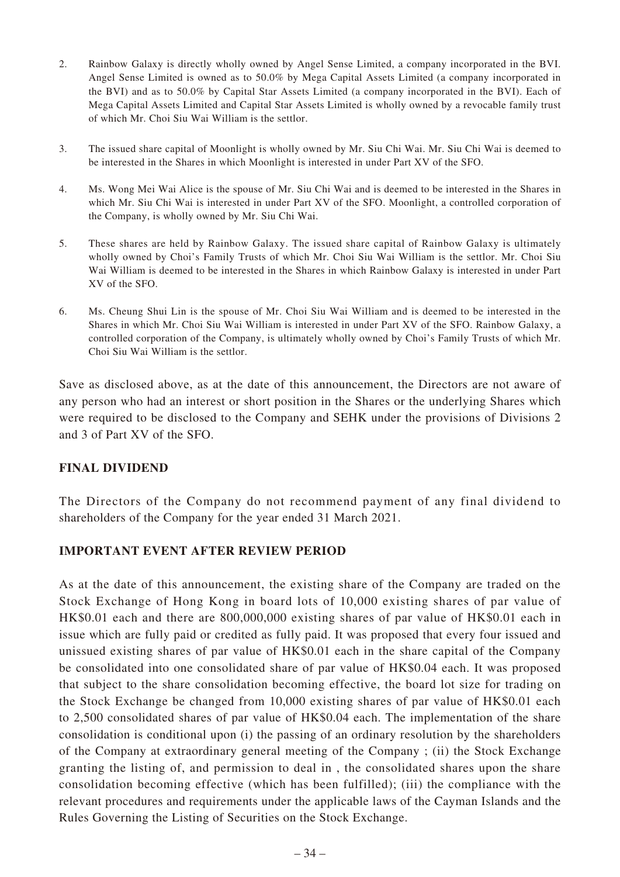- 2. Rainbow Galaxy is directly wholly owned by Angel Sense Limited, a company incorporated in the BVI. Angel Sense Limited is owned as to 50.0% by Mega Capital Assets Limited (a company incorporated in the BVI) and as to 50.0% by Capital Star Assets Limited (a company incorporated in the BVI). Each of Mega Capital Assets Limited and Capital Star Assets Limited is wholly owned by a revocable family trust of which Mr. Choi Siu Wai William is the settlor.
- 3. The issued share capital of Moonlight is wholly owned by Mr. Siu Chi Wai. Mr. Siu Chi Wai is deemed to be interested in the Shares in which Moonlight is interested in under Part XV of the SFO.
- 4. Ms. Wong Mei Wai Alice is the spouse of Mr. Siu Chi Wai and is deemed to be interested in the Shares in which Mr. Siu Chi Wai is interested in under Part XV of the SFO. Moonlight, a controlled corporation of the Company, is wholly owned by Mr. Siu Chi Wai.
- 5. These shares are held by Rainbow Galaxy. The issued share capital of Rainbow Galaxy is ultimately wholly owned by Choi's Family Trusts of which Mr. Choi Siu Wai William is the settlor. Mr. Choi Siu Wai William is deemed to be interested in the Shares in which Rainbow Galaxy is interested in under Part XV of the SFO.
- 6. Ms. Cheung Shui Lin is the spouse of Mr. Choi Siu Wai William and is deemed to be interested in the Shares in which Mr. Choi Siu Wai William is interested in under Part XV of the SFO. Rainbow Galaxy, a controlled corporation of the Company, is ultimately wholly owned by Choi's Family Trusts of which Mr. Choi Siu Wai William is the settlor.

Save as disclosed above, as at the date of this announcement, the Directors are not aware of any person who had an interest or short position in the Shares or the underlying Shares which were required to be disclosed to the Company and SEHK under the provisions of Divisions 2 and 3 of Part XV of the SFO.

# **FINAL DIVIDEND**

The Directors of the Company do not recommend payment of any final dividend to shareholders of the Company for the year ended 31 March 2021.

# **IMPORTANT EVENT AFTER REVIEW PERIOD**

As at the date of this announcement, the existing share of the Company are traded on the Stock Exchange of Hong Kong in board lots of 10,000 existing shares of par value of HK\$0.01 each and there are 800,000,000 existing shares of par value of HK\$0.01 each in issue which are fully paid or credited as fully paid. It was proposed that every four issued and unissued existing shares of par value of HK\$0.01 each in the share capital of the Company be consolidated into one consolidated share of par value of HK\$0.04 each. It was proposed that subject to the share consolidation becoming effective, the board lot size for trading on the Stock Exchange be changed from 10,000 existing shares of par value of HK\$0.01 each to 2,500 consolidated shares of par value of HK\$0.04 each. The implementation of the share consolidation is conditional upon (i) the passing of an ordinary resolution by the shareholders of the Company at extraordinary general meeting of the Company ; (ii) the Stock Exchange granting the listing of, and permission to deal in , the consolidated shares upon the share consolidation becoming effective (which has been fulfilled); (iii) the compliance with the relevant procedures and requirements under the applicable laws of the Cayman Islands and the Rules Governing the Listing of Securities on the Stock Exchange.